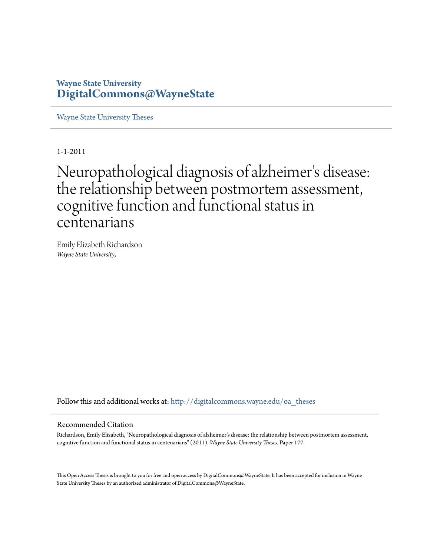## **Wayne State University [DigitalCommons@WayneState](http://digitalcommons.wayne.edu?utm_source=digitalcommons.wayne.edu%2Foa_theses%2F177&utm_medium=PDF&utm_campaign=PDFCoverPages)**

[Wayne State University Theses](http://digitalcommons.wayne.edu/oa_theses?utm_source=digitalcommons.wayne.edu%2Foa_theses%2F177&utm_medium=PDF&utm_campaign=PDFCoverPages)

1-1-2011

Neuropathological diagnosis of alzheimer 's disease: the relationship between postmortem assessment, cognitive function and functional status in centenarians

Emily Elizabeth Richardson *Wayne State University*,

Follow this and additional works at: [http://digitalcommons.wayne.edu/oa\\_theses](http://digitalcommons.wayne.edu/oa_theses?utm_source=digitalcommons.wayne.edu%2Foa_theses%2F177&utm_medium=PDF&utm_campaign=PDFCoverPages)

#### Recommended Citation

Richardson, Emily Elizabeth, "Neuropathological diagnosis of alzheimer's disease: the relationship between postmortem assessment, cognitive function and functional status in centenarians" (2011). *Wayne State University Theses.* Paper 177.

This Open Access Thesis is brought to you for free and open access by DigitalCommons@WayneState. It has been accepted for inclusion in Wayne State University Theses by an authorized administrator of DigitalCommons@WayneState.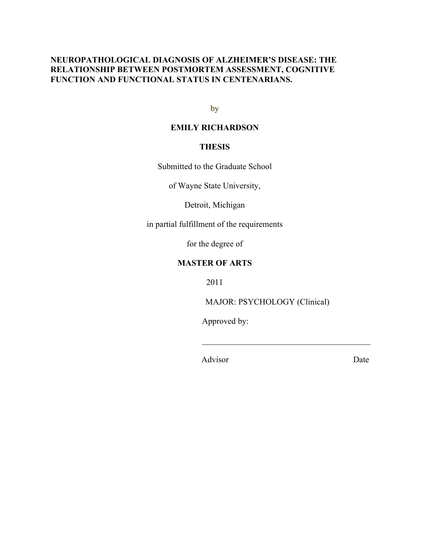### **NEUROPATHOLOGICAL DIAGNOSIS OF ALZHEIMER'S DISEASE: THE RELATIONSHIP BETWEEN POSTMORTEM ASSESSMENT, COGNITIVE FUNCTION AND FUNCTIONAL STATUS IN CENTENARIANS.**

by

### **EMILY RICHARDSON**

### **THESIS**

Submitted to the Graduate School

of Wayne State University,

Detroit, Michigan

in partial fulfillment of the requirements

for the degree of

### **MASTER OF ARTS**

2011

MAJOR: PSYCHOLOGY (Clinical)

 $\mathcal{L}_\text{max}$  and  $\mathcal{L}_\text{max}$  and  $\mathcal{L}_\text{max}$  and  $\mathcal{L}_\text{max}$ 

Approved by:

Advisor Date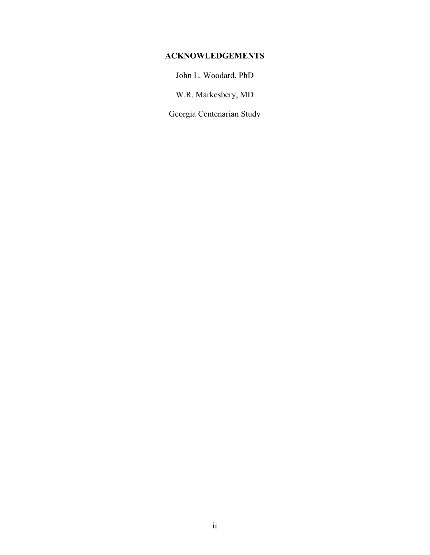### **ACKNOWLEDGEMENTS**

John L. Woodard, PhD

W.R. Markesbery, MD

Georgia Centenarian Study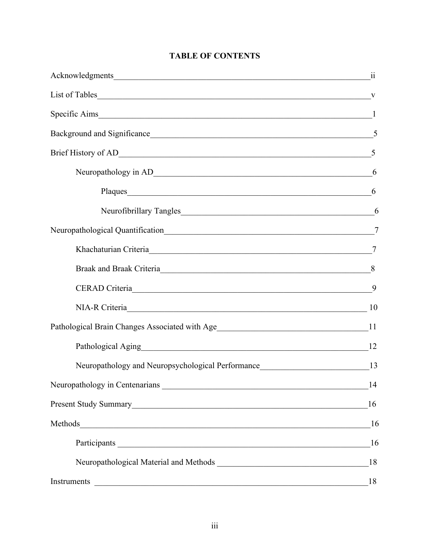| Background and Significance <u>S</u>                                                                                                                                                                                           |    |
|--------------------------------------------------------------------------------------------------------------------------------------------------------------------------------------------------------------------------------|----|
|                                                                                                                                                                                                                                |    |
|                                                                                                                                                                                                                                |    |
| Plaques 6                                                                                                                                                                                                                      |    |
|                                                                                                                                                                                                                                | 6  |
|                                                                                                                                                                                                                                |    |
| Khachaturian Criteria 27                                                                                                                                                                                                       |    |
| Braak and Braak Criteria 8                                                                                                                                                                                                     |    |
| CERAD Criteria                                                                                                                                                                                                                 | 9  |
| NIA-R Criteria 10                                                                                                                                                                                                              |    |
| Pathological Brain Changes Associated with Age___________________________________11                                                                                                                                            |    |
| Pathological Aging 12                                                                                                                                                                                                          |    |
| Neuropathology and Neuropsychological Performance______________________________13                                                                                                                                              |    |
|                                                                                                                                                                                                                                | 14 |
|                                                                                                                                                                                                                                | 16 |
|                                                                                                                                                                                                                                | 16 |
| Participants Latin Communication and the communication of the communication of the communication of the communication of the communication of the communication of the communication of the communication of the communication | 16 |
|                                                                                                                                                                                                                                | 18 |
| Instruments<br><u> 1989 - Johann Stoff, deutscher Stoffen und der Stoffen und der Stoffen und der Stoffen und der Stoffen und der</u>                                                                                          | 18 |

## **TABLE OF CONTENTS**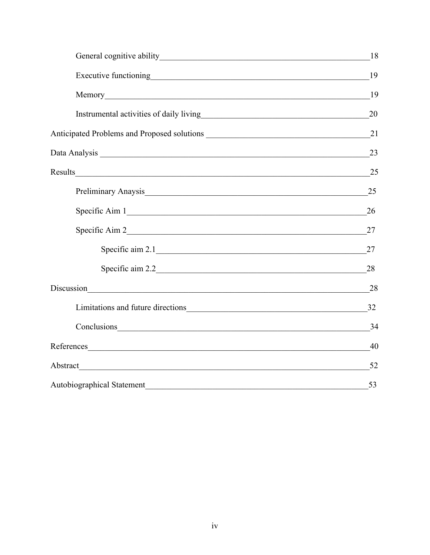|                                                                           | 18 |
|---------------------------------------------------------------------------|----|
|                                                                           | 19 |
|                                                                           | 19 |
|                                                                           | 20 |
|                                                                           | 21 |
|                                                                           | 23 |
|                                                                           | 25 |
| Preliminary Anaysis 25                                                    |    |
| Specific Aim 1                                                            | 26 |
|                                                                           |    |
| Specific aim 2.1                                                          | 27 |
|                                                                           |    |
| Discussion<br><u> 1989 - Johann Stoff, amerikansk politiker (d. 1989)</u> | 28 |
| Limitations and future directions 32                                      |    |
|                                                                           | 34 |
| References                                                                | 40 |
| Abstract 52                                                               |    |
| Autobiographical Statement 53                                             |    |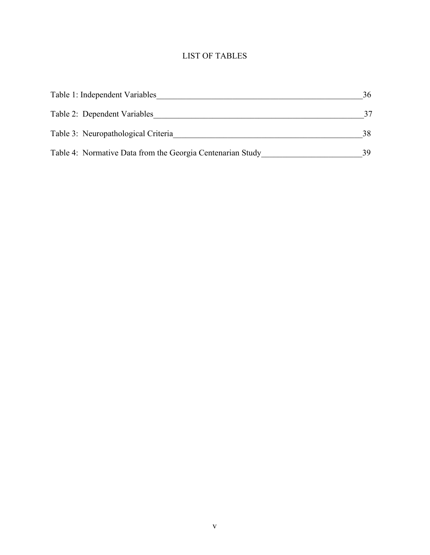## LIST OF TABLES

| Table 1: Independent Variables                             | 36 |
|------------------------------------------------------------|----|
| Table 2: Dependent Variables                               |    |
| Table 3: Neuropathological Criteria                        | 38 |
| Table 4: Normative Data from the Georgia Centenarian Study | 39 |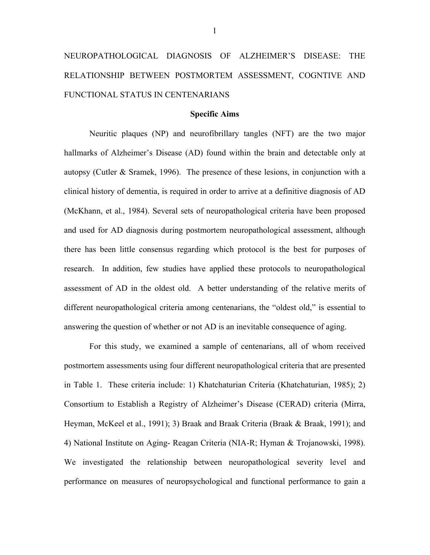# NEUROPATHOLOGICAL DIAGNOSIS OF ALZHEIMER'S DISEASE: THE RELATIONSHIP BETWEEN POSTMORTEM ASSESSMENT, COGNTIVE AND FUNCTIONAL STATUS IN CENTENARIANS

#### **Specific Aims**

Neuritic plaques (NP) and neurofibrillary tangles (NFT) are the two major hallmarks of Alzheimer's Disease (AD) found within the brain and detectable only at autopsy (Cutler & Sramek, 1996). The presence of these lesions, in conjunction with a clinical history of dementia, is required in order to arrive at a definitive diagnosis of AD (McKhann, et al., 1984). Several sets of neuropathological criteria have been proposed and used for AD diagnosis during postmortem neuropathological assessment, although there has been little consensus regarding which protocol is the best for purposes of research. In addition, few studies have applied these protocols to neuropathological assessment of AD in the oldest old. A better understanding of the relative merits of different neuropathological criteria among centenarians, the "oldest old," is essential to answering the question of whether or not AD is an inevitable consequence of aging.

For this study, we examined a sample of centenarians, all of whom received postmortem assessments using four different neuropathological criteria that are presented in Table 1. These criteria include: 1) Khatchaturian Criteria (Khatchaturian, 1985); 2) Consortium to Establish a Registry of Alzheimer's Disease (CERAD) criteria (Mirra, Heyman, McKeel et al., 1991); 3) Braak and Braak Criteria (Braak & Braak, 1991); and 4) National Institute on Aging- Reagan Criteria (NIA-R; Hyman & Trojanowski, 1998). We investigated the relationship between neuropathological severity level and performance on measures of neuropsychological and functional performance to gain a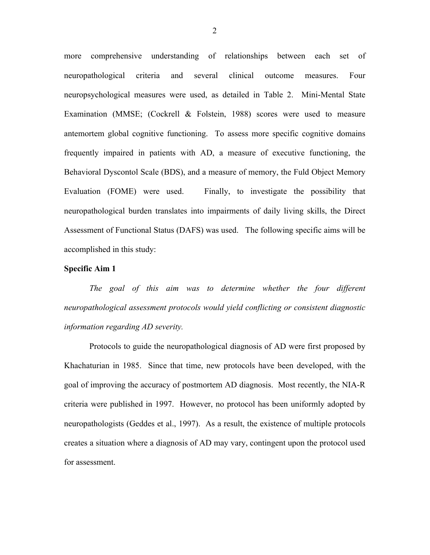more comprehensive understanding of relationships between each set of neuropathological criteria and several clinical outcome measures. Four neuropsychological measures were used, as detailed in Table 2. Mini-Mental State Examination (MMSE; (Cockrell & Folstein, 1988) scores were used to measure antemortem global cognitive functioning. To assess more specific cognitive domains frequently impaired in patients with AD, a measure of executive functioning, the Behavioral Dyscontol Scale (BDS), and a measure of memory, the Fuld Object Memory Evaluation (FOME) were used. Finally, to investigate the possibility that neuropathological burden translates into impairments of daily living skills, the Direct Assessment of Functional Status (DAFS) was used. The following specific aims will be accomplished in this study:

#### **Specific Aim 1**

*The goal of this aim was to determine whether the four different neuropathological assessment protocols would yield conflicting or consistent diagnostic information regarding AD severity.*

Protocols to guide the neuropathological diagnosis of AD were first proposed by Khachaturian in 1985. Since that time, new protocols have been developed, with the goal of improving the accuracy of postmortem AD diagnosis. Most recently, the NIA-R criteria were published in 1997. However, no protocol has been uniformly adopted by neuropathologists (Geddes et al., 1997). As a result, the existence of multiple protocols creates a situation where a diagnosis of AD may vary, contingent upon the protocol used for assessment.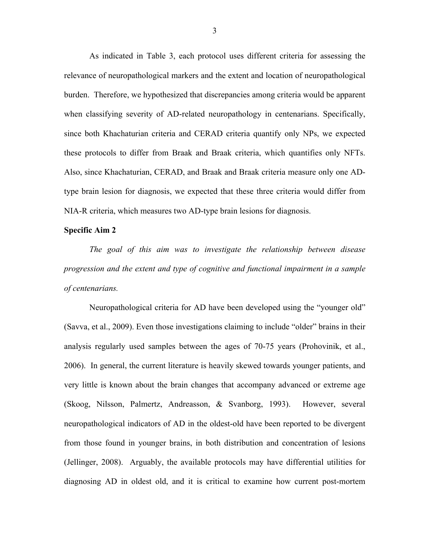As indicated in Table 3, each protocol uses different criteria for assessing the relevance of neuropathological markers and the extent and location of neuropathological burden. Therefore, we hypothesized that discrepancies among criteria would be apparent when classifying severity of AD-related neuropathology in centenarians. Specifically, since both Khachaturian criteria and CERAD criteria quantify only NPs, we expected these protocols to differ from Braak and Braak criteria, which quantifies only NFTs. Also, since Khachaturian, CERAD, and Braak and Braak criteria measure only one ADtype brain lesion for diagnosis, we expected that these three criteria would differ from NIA-R criteria, which measures two AD-type brain lesions for diagnosis.

#### **Specific Aim 2**

*The goal of this aim was to investigate the relationship between disease progression and the extent and type of cognitive and functional impairment in a sample of centenarians.* 

Neuropathological criteria for AD have been developed using the "younger old" (Savva, et al., 2009). Even those investigations claiming to include "older" brains in their analysis regularly used samples between the ages of 70-75 years (Prohovinik, et al., 2006). In general, the current literature is heavily skewed towards younger patients, and very little is known about the brain changes that accompany advanced or extreme age (Skoog, Nilsson, Palmertz, Andreasson, & Svanborg, 1993). However, several neuropathological indicators of AD in the oldest-old have been reported to be divergent from those found in younger brains, in both distribution and concentration of lesions (Jellinger, 2008). Arguably, the available protocols may have differential utilities for diagnosing AD in oldest old, and it is critical to examine how current post-mortem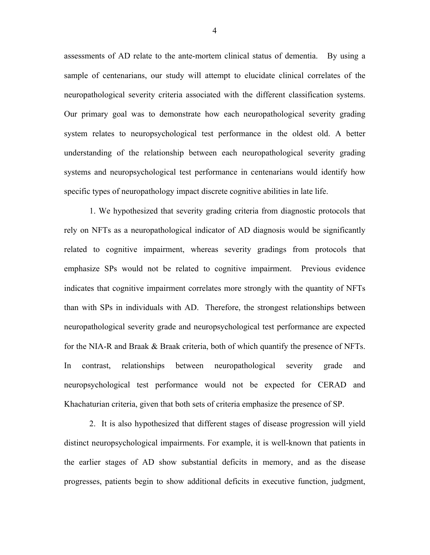assessments of AD relate to the ante-mortem clinical status of dementia. By using a sample of centenarians, our study will attempt to elucidate clinical correlates of the neuropathological severity criteria associated with the different classification systems. Our primary goal was to demonstrate how each neuropathological severity grading system relates to neuropsychological test performance in the oldest old. A better understanding of the relationship between each neuropathological severity grading systems and neuropsychological test performance in centenarians would identify how specific types of neuropathology impact discrete cognitive abilities in late life.

1. We hypothesized that severity grading criteria from diagnostic protocols that rely on NFTs as a neuropathological indicator of AD diagnosis would be significantly related to cognitive impairment, whereas severity gradings from protocols that emphasize SPs would not be related to cognitive impairment. Previous evidence indicates that cognitive impairment correlates more strongly with the quantity of NFTs than with SPs in individuals with AD. Therefore, the strongest relationships between neuropathological severity grade and neuropsychological test performance are expected for the NIA-R and Braak & Braak criteria, both of which quantify the presence of NFTs. In contrast, relationships between neuropathological severity grade and neuropsychological test performance would not be expected for CERAD and Khachaturian criteria, given that both sets of criteria emphasize the presence of SP.

2. It is also hypothesized that different stages of disease progression will yield distinct neuropsychological impairments. For example, it is well-known that patients in the earlier stages of AD show substantial deficits in memory, and as the disease progresses, patients begin to show additional deficits in executive function, judgment,

4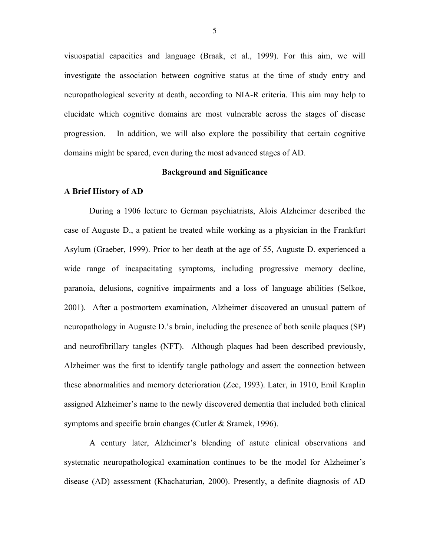visuospatial capacities and language (Braak, et al., 1999). For this aim, we will investigate the association between cognitive status at the time of study entry and neuropathological severity at death, according to NIA-R criteria. This aim may help to elucidate which cognitive domains are most vulnerable across the stages of disease progression. In addition, we will also explore the possibility that certain cognitive domains might be spared, even during the most advanced stages of AD.

#### **Background and Significance**

#### **A Brief History of AD**

During a 1906 lecture to German psychiatrists, Alois Alzheimer described the case of Auguste D., a patient he treated while working as a physician in the Frankfurt Asylum (Graeber, 1999). Prior to her death at the age of 55, Auguste D. experienced a wide range of incapacitating symptoms, including progressive memory decline, paranoia, delusions, cognitive impairments and a loss of language abilities (Selkoe, 2001). After a postmortem examination, Alzheimer discovered an unusual pattern of neuropathology in Auguste D.'s brain, including the presence of both senile plaques (SP) and neurofibrillary tangles (NFT). Although plaques had been described previously, Alzheimer was the first to identify tangle pathology and assert the connection between these abnormalities and memory deterioration (Zec, 1993). Later, in 1910, Emil Kraplin assigned Alzheimer's name to the newly discovered dementia that included both clinical symptoms and specific brain changes (Cutler & Sramek, 1996).

A century later, Alzheimer's blending of astute clinical observations and systematic neuropathological examination continues to be the model for Alzheimer's disease (AD) assessment (Khachaturian, 2000). Presently, a definite diagnosis of AD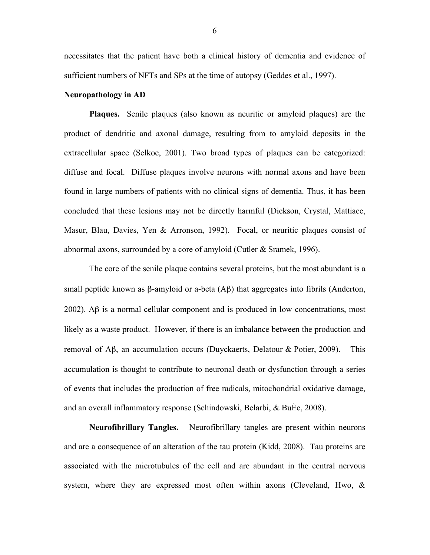necessitates that the patient have both a clinical history of dementia and evidence of sufficient numbers of NFTs and SPs at the time of autopsy (Geddes et al., 1997).

#### **Neuropathology in AD**

**Plaques.** Senile plaques (also known as neuritic or amyloid plaques) are the product of dendritic and axonal damage, resulting from to amyloid deposits in the extracellular space (Selkoe, 2001). Two broad types of plaques can be categorized: diffuse and focal. Diffuse plaques involve neurons with normal axons and have been found in large numbers of patients with no clinical signs of dementia. Thus, it has been concluded that these lesions may not be directly harmful (Dickson, Crystal, Mattiace, Masur, Blau, Davies, Yen & Arronson, 1992). Focal, or neuritic plaques consist of abnormal axons, surrounded by a core of amyloid (Cutler & Sramek, 1996).

The core of the senile plaque contains several proteins, but the most abundant is a small peptide known as β-amyloid or a-beta  $(Aβ)$  that aggregates into fibrils (Anderton, 2002). Aβ is a normal cellular component and is produced in low concentrations, most likely as a waste product. However, if there is an imbalance between the production and removal of Aβ, an accumulation occurs (Duyckaerts, Delatour & Potier, 2009). This accumulation is thought to contribute to neuronal death or dysfunction through a series of events that includes the production of free radicals, mitochondrial oxidative damage, and an overall inflammatory response (Schindowski, Belarbi, & BuÈe, 2008).

**Neurofibrillary Tangles.**Neurofibrillary tangles are present within neurons and are a consequence of an alteration of the tau protein (Kidd, 2008). Tau proteins are associated with the microtubules of the cell and are abundant in the central nervous system, where they are expressed most often within axons (Cleveland, Hwo, &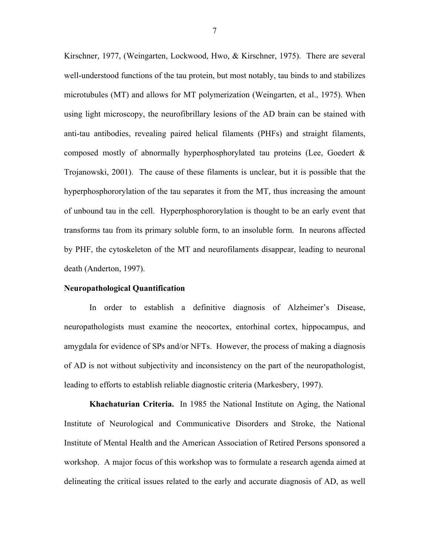Kirschner, 1977, (Weingarten, Lockwood, Hwo, & Kirschner, 1975). There are several well-understood functions of the tau protein, but most notably, tau binds to and stabilizes microtubules (MT) and allows for MT polymerization (Weingarten, et al., 1975). When using light microscopy, the neurofibrillary lesions of the AD brain can be stained with anti-tau antibodies, revealing paired helical filaments (PHFs) and straight filaments, composed mostly of abnormally hyperphosphorylated tau proteins (Lee, Goedert & Trojanowski, 2001). The cause of these filaments is unclear, but it is possible that the hyperphosphororylation of the tau separates it from the MT, thus increasing the amount of unbound tau in the cell. Hyperphosphororylation is thought to be an early event that transforms tau from its primary soluble form, to an insoluble form. In neurons affected by PHF, the cytoskeleton of the MT and neurofilaments disappear, leading to neuronal death (Anderton, 1997).

#### **Neuropathological Quantification**

In order to establish a definitive diagnosis of Alzheimer's Disease, neuropathologists must examine the neocortex, entorhinal cortex, hippocampus, and amygdala for evidence of SPs and/or NFTs. However, the process of making a diagnosis of AD is not without subjectivity and inconsistency on the part of the neuropathologist, leading to efforts to establish reliable diagnostic criteria (Markesbery, 1997).

**Khachaturian Criteria.**In 1985 the National Institute on Aging, the National Institute of Neurological and Communicative Disorders and Stroke, the National Institute of Mental Health and the American Association of Retired Persons sponsored a workshop. A major focus of this workshop was to formulate a research agenda aimed at delineating the critical issues related to the early and accurate diagnosis of AD, as well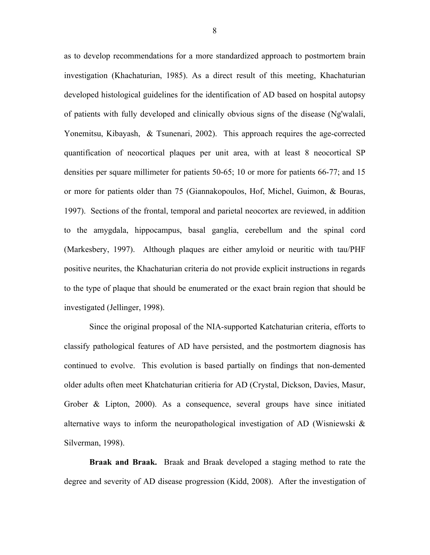as to develop recommendations for a more standardized approach to postmortem brain investigation (Khachaturian, 1985). As a direct result of this meeting, Khachaturian developed histological guidelines for the identification of AD based on hospital autopsy of patients with fully developed and clinically obvious signs of the disease (Ng'walali, Yonemitsu, Kibayash, & Tsunenari, 2002). This approach requires the age-corrected quantification of neocortical plaques per unit area, with at least 8 neocortical SP densities per square millimeter for patients 50-65; 10 or more for patients 66-77; and 15 or more for patients older than 75 (Giannakopoulos, Hof, Michel, Guimon, & Bouras, 1997). Sections of the frontal, temporal and parietal neocortex are reviewed, in addition to the amygdala, hippocampus, basal ganglia, cerebellum and the spinal cord (Markesbery, 1997). Although plaques are either amyloid or neuritic with tau/PHF positive neurites, the Khachaturian criteria do not provide explicit instructions in regards to the type of plaque that should be enumerated or the exact brain region that should be investigated (Jellinger, 1998).

Since the original proposal of the NIA-supported Katchaturian criteria, efforts to classify pathological features of AD have persisted, and the postmortem diagnosis has continued to evolve. This evolution is based partially on findings that non-demented older adults often meet Khatchaturian critieria for AD (Crystal, Dickson, Davies, Masur, Grober & Lipton, 2000). As a consequence, several groups have since initiated alternative ways to inform the neuropathological investigation of AD (Wisniewski & Silverman, 1998).

**Braak and Braak.** Braak and Braak developed a staging method to rate the degree and severity of AD disease progression (Kidd, 2008). After the investigation of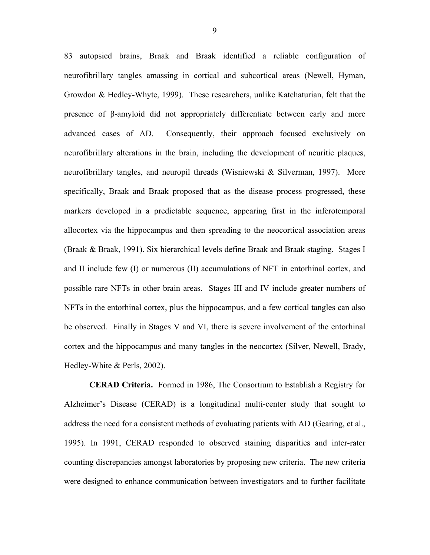83 autopsied brains, Braak and Braak identified a reliable configuration of neurofibrillary tangles amassing in cortical and subcortical areas (Newell, Hyman, Growdon & Hedley-Whyte, 1999). These researchers, unlike Katchaturian, felt that the presence of β-amyloid did not appropriately differentiate between early and more advanced cases of AD. Consequently, their approach focused exclusively on neurofibrillary alterations in the brain, including the development of neuritic plaques, neurofibrillary tangles, and neuropil threads (Wisniewski & Silverman, 1997). More specifically, Braak and Braak proposed that as the disease process progressed, these markers developed in a predictable sequence, appearing first in the inferotemporal allocortex via the hippocampus and then spreading to the neocortical association areas (Braak & Braak, 1991). Six hierarchical levels define Braak and Braak staging. Stages I and II include few (I) or numerous (II) accumulations of NFT in entorhinal cortex, and possible rare NFTs in other brain areas. Stages III and IV include greater numbers of NFTs in the entorhinal cortex, plus the hippocampus, and a few cortical tangles can also be observed. Finally in Stages V and VI, there is severe involvement of the entorhinal cortex and the hippocampus and many tangles in the neocortex (Silver, Newell, Brady, Hedley-White & Perls, 2002).

**CERAD Criteria.** Formed in 1986, The Consortium to Establish a Registry for Alzheimer's Disease (CERAD) is a longitudinal multi-center study that sought to address the need for a consistent methods of evaluating patients with AD (Gearing, et al., 1995). In 1991, CERAD responded to observed staining disparities and inter-rater counting discrepancies amongst laboratories by proposing new criteria. The new criteria were designed to enhance communication between investigators and to further facilitate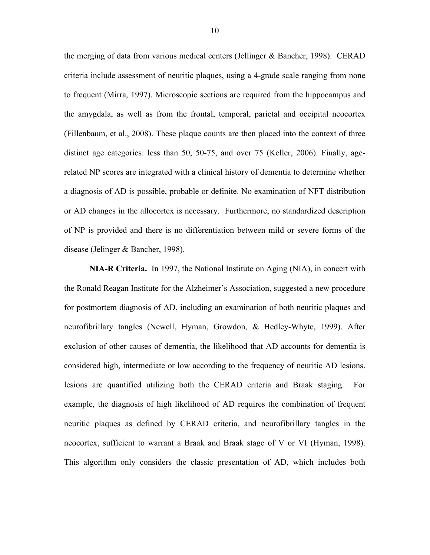the merging of data from various medical centers (Jellinger & Bancher, 1998). CERAD criteria include assessment of neuritic plaques, using a 4-grade scale ranging from none to frequent (Mirra, 1997). Microscopic sections are required from the hippocampus and the amygdala, as well as from the frontal, temporal, parietal and occipital neocortex (Fillenbaum, et al., 2008). These plaque counts are then placed into the context of three distinct age categories: less than 50, 50-75, and over 75 (Keller, 2006). Finally, agerelated NP scores are integrated with a clinical history of dementia to determine whether a diagnosis of AD is possible, probable or definite. No examination of NFT distribution or AD changes in the allocortex is necessary. Furthermore, no standardized description of NP is provided and there is no differentiation between mild or severe forms of the disease (Jelinger & Bancher, 1998).

**NIA-R Criteria.** In 1997, the National Institute on Aging (NIA), in concert with the Ronald Reagan Institute for the Alzheimer's Association, suggested a new procedure for postmortem diagnosis of AD, including an examination of both neuritic plaques and neurofibrillary tangles (Newell, Hyman, Growdon, & Hedley-Whyte, 1999). After exclusion of other causes of dementia, the likelihood that AD accounts for dementia is considered high, intermediate or low according to the frequency of neuritic AD lesions. lesions are quantified utilizing both the CERAD criteria and Braak staging. For example, the diagnosis of high likelihood of AD requires the combination of frequent neuritic plaques as defined by CERAD criteria, and neurofibrillary tangles in the neocortex, sufficient to warrant a Braak and Braak stage of V or VI (Hyman, 1998). This algorithm only considers the classic presentation of AD, which includes both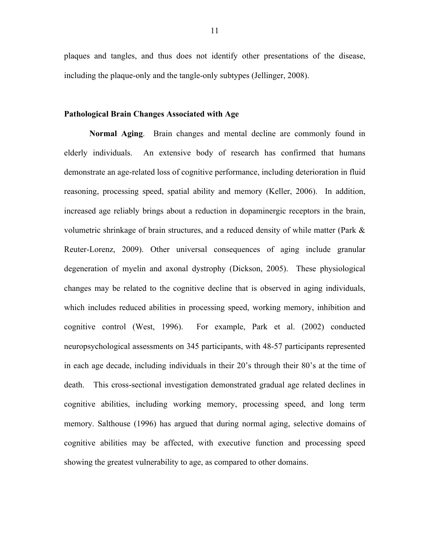plaques and tangles, and thus does not identify other presentations of the disease, including the plaque-only and the tangle-only subtypes (Jellinger, 2008).

#### **Pathological Brain Changes Associated with Age**

**Normal Aging**. Brain changes and mental decline are commonly found in elderly individuals. An extensive body of research has confirmed that humans demonstrate an age-related loss of cognitive performance, including deterioration in fluid reasoning, processing speed, spatial ability and memory (Keller, 2006). In addition, increased age reliably brings about a reduction in dopaminergic receptors in the brain, volumetric shrinkage of brain structures, and a reduced density of while matter (Park & Reuter-Lorenz, 2009). Other universal consequences of aging include granular degeneration of myelin and axonal dystrophy (Dickson, 2005). These physiological changes may be related to the cognitive decline that is observed in aging individuals, which includes reduced abilities in processing speed, working memory, inhibition and cognitive control (West, 1996). For example, Park et al. (2002) conducted neuropsychological assessments on 345 participants, with 48-57 participants represented in each age decade, including individuals in their 20's through their 80's at the time of death. This cross-sectional investigation demonstrated gradual age related declines in cognitive abilities, including working memory, processing speed, and long term memory. Salthouse (1996) has argued that during normal aging, selective domains of cognitive abilities may be affected, with executive function and processing speed showing the greatest vulnerability to age, as compared to other domains.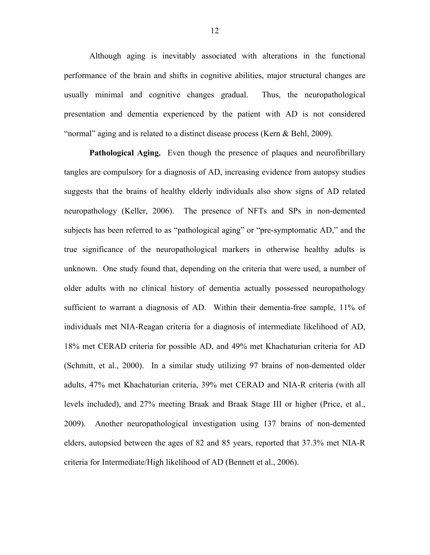Although aging is inevitably associated with alterations in the functional performance of the brain and shifts in cognitive abilities, major structural changes are usually minimal and cognitive changes gradual. Thus, the neuropathological presentation and dementia experienced by the patient with AD is not considered "normal" aging and is related to a distinct disease process (Kern & Behl, 2009).

**Pathological Aging.** Even though the presence of plaques and neurofibrillary tangles are compulsory for a diagnosis of AD, increasing evidence from autopsy studies suggests that the brains of healthy elderly individuals also show signs of AD related neuropathology (Keller, 2006). The presence of NFTs and SPs in non-demented subjects has been referred to as "pathological aging" or "pre-symptomatic AD," and the true significance of the neuropathological markers in otherwise healthy adults is unknown. One study found that, depending on the criteria that were used, a number of older adults with no clinical history of dementia actually possessed neuropathology sufficient to warrant a diagnosis of AD. Within their dementia-free sample, 11% of individuals met NIA-Reagan criteria for a diagnosis of intermediate likelihood of AD, 18% met CERAD criteria for possible AD, and 49% met Khachaturian criteria for AD (Schmitt, et al., 2000). In a similar study utilizing 97 brains of non-demented older adults, 47% met Khachaturian criteria, 39% met CERAD and NIA-R criteria (with all levels included), and 27% meeting Braak and Braak Stage III or higher (Price, et al., 2009). Another neuropathological investigation using 137 brains of non-demented elders, autopsied between the ages of 82 and 85 years, reported that 37.3% met NIA-R criteria for Intermediate/High likelihood of AD (Bennett et al., 2006).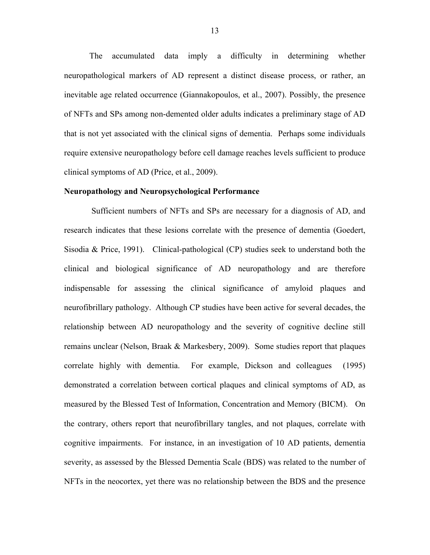The accumulated data imply a difficulty in determining whether neuropathological markers of AD represent a distinct disease process, or rather, an inevitable age related occurrence (Giannakopoulos, et al., 2007). Possibly, the presence of NFTs and SPs among non-demented older adults indicates a preliminary stage of AD that is not yet associated with the clinical signs of dementia. Perhaps some individuals require extensive neuropathology before cell damage reaches levels sufficient to produce clinical symptoms of AD (Price, et al., 2009).

#### **Neuropathology and Neuropsychological Performance**

 Sufficient numbers of NFTs and SPs are necessary for a diagnosis of AD, and research indicates that these lesions correlate with the presence of dementia (Goedert, Sisodia & Price, 1991). Clinical-pathological (CP) studies seek to understand both the clinical and biological significance of AD neuropathology and are therefore indispensable for assessing the clinical significance of amyloid plaques and neurofibrillary pathology. Although CP studies have been active for several decades, the relationship between AD neuropathology and the severity of cognitive decline still remains unclear (Nelson, Braak & Markesbery, 2009). Some studies report that plaques correlate highly with dementia. For example, Dickson and colleagues (1995) demonstrated a correlation between cortical plaques and clinical symptoms of AD, as measured by the Blessed Test of Information, Concentration and Memory (BICM). On the contrary, others report that neurofibrillary tangles, and not plaques, correlate with cognitive impairments. For instance, in an investigation of 10 AD patients, dementia severity, as assessed by the Blessed Dementia Scale (BDS) was related to the number of NFTs in the neocortex, yet there was no relationship between the BDS and the presence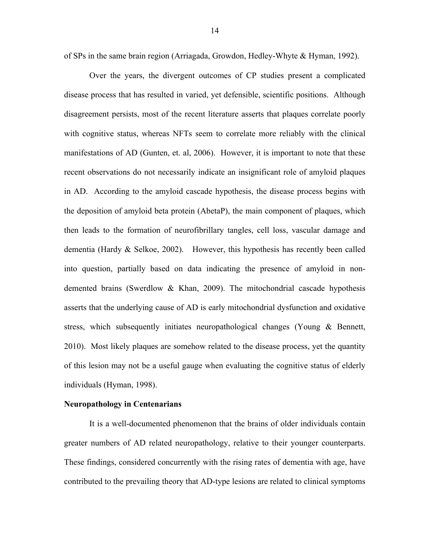of SPs in the same brain region (Arriagada, Growdon, Hedley-Whyte & Hyman, 1992).

Over the years, the divergent outcomes of CP studies present a complicated disease process that has resulted in varied, yet defensible, scientific positions. Although disagreement persists, most of the recent literature asserts that plaques correlate poorly with cognitive status, whereas NFTs seem to correlate more reliably with the clinical manifestations of AD (Gunten, et. al, 2006). However, it is important to note that these recent observations do not necessarily indicate an insignificant role of amyloid plaques in AD. According to the amyloid cascade hypothesis, the disease process begins with the deposition of amyloid beta protein (AbetaP), the main component of plaques, which then leads to the formation of neurofibrillary tangles, cell loss, vascular damage and dementia (Hardy & Selkoe, 2002). However, this hypothesis has recently been called into question, partially based on data indicating the presence of amyloid in nondemented brains (Swerdlow & Khan, 2009). The mitochondrial cascade hypothesis asserts that the underlying cause of AD is early mitochondrial dysfunction and oxidative stress, which subsequently initiates neuropathological changes (Young & Bennett, 2010). Most likely plaques are somehow related to the disease process, yet the quantity of this lesion may not be a useful gauge when evaluating the cognitive status of elderly individuals (Hyman, 1998).

#### **Neuropathology in Centenarians**

It is a well-documented phenomenon that the brains of older individuals contain greater numbers of AD related neuropathology, relative to their younger counterparts. These findings, considered concurrently with the rising rates of dementia with age, have contributed to the prevailing theory that AD-type lesions are related to clinical symptoms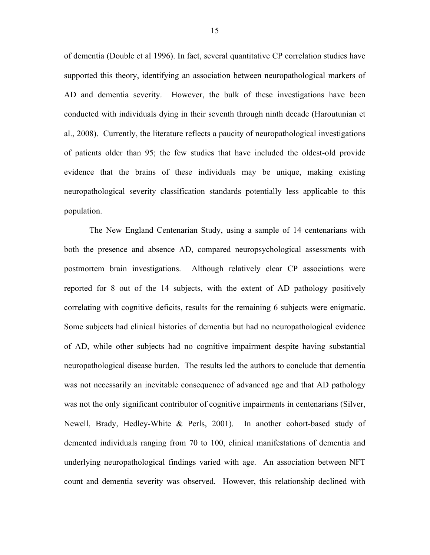of dementia (Double et al 1996). In fact, several quantitative CP correlation studies have supported this theory, identifying an association between neuropathological markers of AD and dementia severity. However, the bulk of these investigations have been conducted with individuals dying in their seventh through ninth decade (Haroutunian et al., 2008). Currently, the literature reflects a paucity of neuropathological investigations of patients older than 95; the few studies that have included the oldest-old provide evidence that the brains of these individuals may be unique, making existing neuropathological severity classification standards potentially less applicable to this population.

The New England Centenarian Study, using a sample of 14 centenarians with both the presence and absence AD, compared neuropsychological assessments with postmortem brain investigations. Although relatively clear CP associations were reported for 8 out of the 14 subjects, with the extent of AD pathology positively correlating with cognitive deficits, results for the remaining 6 subjects were enigmatic. Some subjects had clinical histories of dementia but had no neuropathological evidence of AD, while other subjects had no cognitive impairment despite having substantial neuropathological disease burden. The results led the authors to conclude that dementia was not necessarily an inevitable consequence of advanced age and that AD pathology was not the only significant contributor of cognitive impairments in centenarians (Silver, Newell, Brady, Hedley-White & Perls, 2001). In another cohort-based study of demented individuals ranging from 70 to 100, clinical manifestations of dementia and underlying neuropathological findings varied with age. An association between NFT count and dementia severity was observed. However, this relationship declined with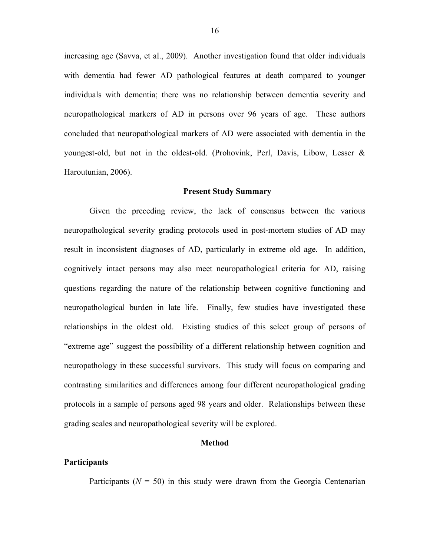increasing age (Savva, et al., 2009). Another investigation found that older individuals with dementia had fewer AD pathological features at death compared to younger individuals with dementia; there was no relationship between dementia severity and neuropathological markers of AD in persons over 96 years of age. These authors concluded that neuropathological markers of AD were associated with dementia in the youngest-old, but not in the oldest-old. (Prohovink, Perl, Davis, Libow, Lesser & Haroutunian, 2006).

#### **Present Study Summary**

Given the preceding review, the lack of consensus between the various neuropathological severity grading protocols used in post-mortem studies of AD may result in inconsistent diagnoses of AD, particularly in extreme old age. In addition, cognitively intact persons may also meet neuropathological criteria for AD, raising questions regarding the nature of the relationship between cognitive functioning and neuropathological burden in late life. Finally, few studies have investigated these relationships in the oldest old. Existing studies of this select group of persons of "extreme age" suggest the possibility of a different relationship between cognition and neuropathology in these successful survivors. This study will focus on comparing and contrasting similarities and differences among four different neuropathological grading protocols in a sample of persons aged 98 years and older. Relationships between these grading scales and neuropathological severity will be explored.

#### **Method**

#### **Participants**

Participants  $(N = 50)$  in this study were drawn from the Georgia Centenarian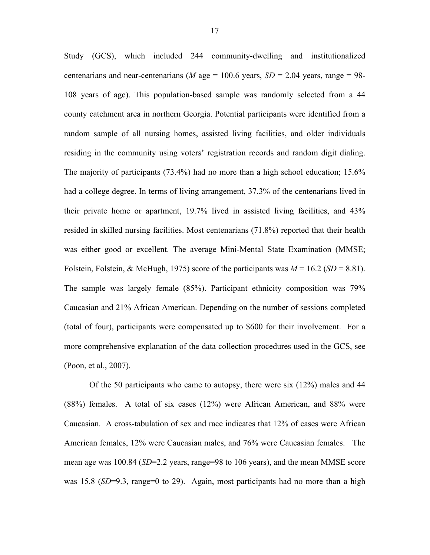Study (GCS), which included 244 community-dwelling and institutionalized centenarians and near-centenarians (*M* age = 100.6 years,  $SD = 2.04$  years, range = 98-108 years of age). This population-based sample was randomly selected from a 44 county catchment area in northern Georgia. Potential participants were identified from a random sample of all nursing homes, assisted living facilities, and older individuals residing in the community using voters' registration records and random digit dialing. The majority of participants (73.4%) had no more than a high school education; 15.6% had a college degree. In terms of living arrangement, 37.3% of the centenarians lived in their private home or apartment, 19.7% lived in assisted living facilities, and 43% resided in skilled nursing facilities. Most centenarians (71.8%) reported that their health was either good or excellent. The average Mini-Mental State Examination (MMSE; Folstein, Folstein, & McHugh, 1975) score of the participants was  $M = 16.2$  (*SD* = 8.81). The sample was largely female (85%). Participant ethnicity composition was 79% Caucasian and 21% African American. Depending on the number of sessions completed (total of four), participants were compensated up to \$600 for their involvement. For a more comprehensive explanation of the data collection procedures used in the GCS, see (Poon, et al., 2007).

Of the 50 participants who came to autopsy, there were six (12%) males and 44 (88%) females. A total of six cases (12%) were African American, and 88% were Caucasian. A cross-tabulation of sex and race indicates that 12% of cases were African American females, 12% were Caucasian males, and 76% were Caucasian females. The mean age was 100.84 (*SD*=2.2 years, range=98 to 106 years), and the mean MMSE score was 15.8 (*SD*=9.3, range=0 to 29). Again, most participants had no more than a high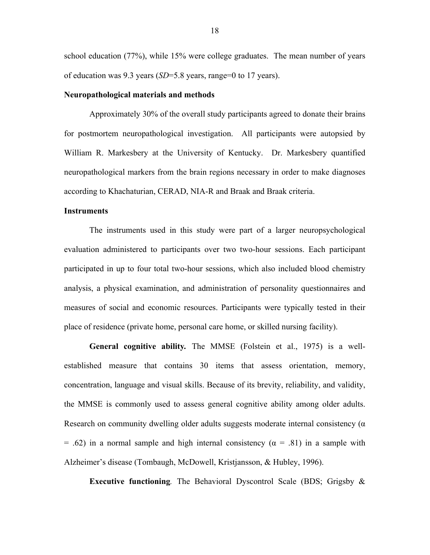school education (77%), while 15% were college graduates. The mean number of years of education was 9.3 years (*SD*=5.8 years, range=0 to 17 years).

#### **Neuropathological materials and methods**

Approximately 30% of the overall study participants agreed to donate their brains for postmortem neuropathological investigation. All participants were autopsied by William R. Markesbery at the University of Kentucky. Dr. Markesbery quantified neuropathological markers from the brain regions necessary in order to make diagnoses according to Khachaturian, CERAD, NIA-R and Braak and Braak criteria.

#### **Instruments**

The instruments used in this study were part of a larger neuropsychological evaluation administered to participants over two two-hour sessions. Each participant participated in up to four total two-hour sessions, which also included blood chemistry analysis, a physical examination, and administration of personality questionnaires and measures of social and economic resources. Participants were typically tested in their place of residence (private home, personal care home, or skilled nursing facility).

**General cognitive ability***.* The MMSE (Folstein et al., 1975) is a wellestablished measure that contains 30 items that assess orientation, memory, concentration, language and visual skills. Because of its brevity, reliability, and validity, the MMSE is commonly used to assess general cognitive ability among older adults. Research on community dwelling older adults suggests moderate internal consistency (α = .62) in a normal sample and high internal consistency ( $\alpha$  = .81) in a sample with Alzheimer's disease (Tombaugh, McDowell, Kristjansson, & Hubley, 1996).

**Executive functioning***.* The Behavioral Dyscontrol Scale (BDS; Grigsby &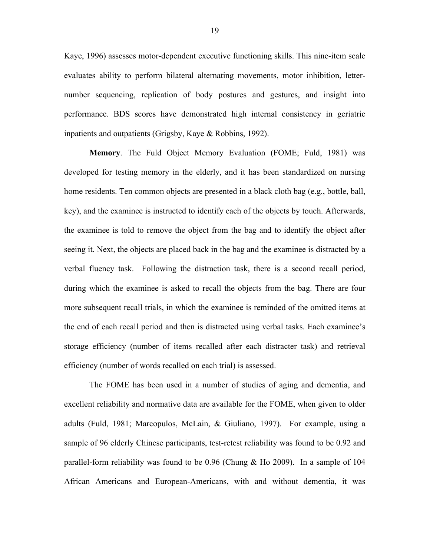Kaye, 1996) assesses motor-dependent executive functioning skills. This nine-item scale evaluates ability to perform bilateral alternating movements, motor inhibition, letternumber sequencing, replication of body postures and gestures, and insight into performance. BDS scores have demonstrated high internal consistency in geriatric inpatients and outpatients (Grigsby, Kaye & Robbins, 1992).

**Memory**. The Fuld Object Memory Evaluation (FOME; Fuld, 1981) was developed for testing memory in the elderly, and it has been standardized on nursing home residents. Ten common objects are presented in a black cloth bag (e.g., bottle, ball, key), and the examinee is instructed to identify each of the objects by touch. Afterwards, the examinee is told to remove the object from the bag and to identify the object after seeing it. Next, the objects are placed back in the bag and the examinee is distracted by a verbal fluency task. Following the distraction task, there is a second recall period, during which the examinee is asked to recall the objects from the bag. There are four more subsequent recall trials, in which the examinee is reminded of the omitted items at the end of each recall period and then is distracted using verbal tasks. Each examinee's storage efficiency (number of items recalled after each distracter task) and retrieval efficiency (number of words recalled on each trial) is assessed.

The FOME has been used in a number of studies of aging and dementia, and excellent reliability and normative data are available for the FOME, when given to older adults (Fuld, 1981; Marcopulos, McLain, & Giuliano, 1997). For example, using a sample of 96 elderly Chinese participants, test-retest reliability was found to be 0.92 and parallel-form reliability was found to be 0.96 (Chung & Ho 2009). In a sample of 104 African Americans and European-Americans, with and without dementia, it was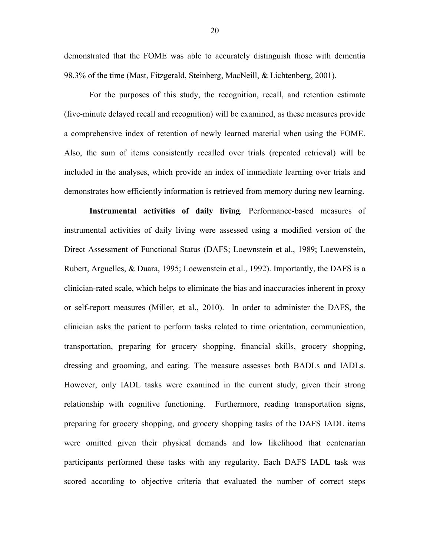demonstrated that the FOME was able to accurately distinguish those with dementia 98.3% of the time (Mast, Fitzgerald, Steinberg, MacNeill, & Lichtenberg, 2001).

For the purposes of this study, the recognition, recall, and retention estimate (five-minute delayed recall and recognition) will be examined, as these measures provide a comprehensive index of retention of newly learned material when using the FOME. Also, the sum of items consistently recalled over trials (repeated retrieval) will be included in the analyses, which provide an index of immediate learning over trials and demonstrates how efficiently information is retrieved from memory during new learning.

**Instrumental activities of daily living***.* Performance-based measures of instrumental activities of daily living were assessed using a modified version of the Direct Assessment of Functional Status (DAFS; Loewnstein et al., 1989; Loewenstein, Rubert, Arguelles, & Duara, 1995; Loewenstein et al., 1992). Importantly, the DAFS is a clinician-rated scale, which helps to eliminate the bias and inaccuracies inherent in proxy or self-report measures (Miller, et al., 2010). In order to administer the DAFS, the clinician asks the patient to perform tasks related to time orientation, communication, transportation, preparing for grocery shopping, financial skills, grocery shopping, dressing and grooming, and eating. The measure assesses both BADLs and IADLs. However, only IADL tasks were examined in the current study, given their strong relationship with cognitive functioning. Furthermore, reading transportation signs, preparing for grocery shopping, and grocery shopping tasks of the DAFS IADL items were omitted given their physical demands and low likelihood that centenarian participants performed these tasks with any regularity. Each DAFS IADL task was scored according to objective criteria that evaluated the number of correct steps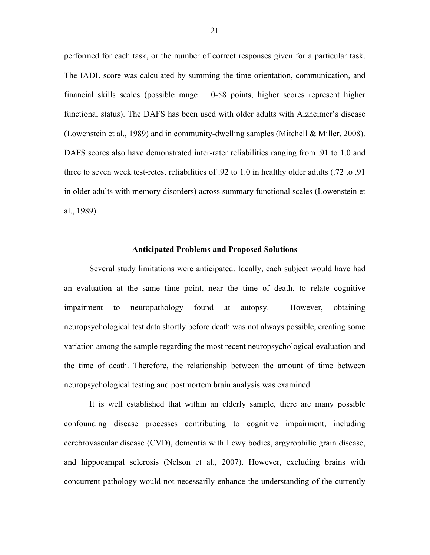performed for each task, or the number of correct responses given for a particular task. The IADL score was calculated by summing the time orientation, communication, and financial skills scales (possible range  $= 0.58$  points, higher scores represent higher functional status). The DAFS has been used with older adults with Alzheimer's disease (Lowenstein et al., 1989) and in community-dwelling samples (Mitchell & Miller, 2008). DAFS scores also have demonstrated inter-rater reliabilities ranging from .91 to 1.0 and three to seven week test-retest reliabilities of .92 to 1.0 in healthy older adults (.72 to .91 in older adults with memory disorders) across summary functional scales (Lowenstein et al., 1989).

#### **Anticipated Problems and Proposed Solutions**

Several study limitations were anticipated. Ideally, each subject would have had an evaluation at the same time point, near the time of death, to relate cognitive impairment to neuropathology found at autopsy. However, obtaining neuropsychological test data shortly before death was not always possible, creating some variation among the sample regarding the most recent neuropsychological evaluation and the time of death. Therefore, the relationship between the amount of time between neuropsychological testing and postmortem brain analysis was examined.

It is well established that within an elderly sample, there are many possible confounding disease processes contributing to cognitive impairment, including cerebrovascular disease (CVD), dementia with Lewy bodies, argyrophilic grain disease, and hippocampal sclerosis (Nelson et al., 2007). However, excluding brains with concurrent pathology would not necessarily enhance the understanding of the currently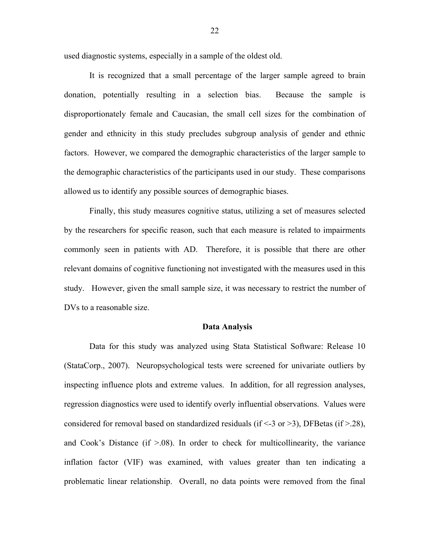used diagnostic systems, especially in a sample of the oldest old.

It is recognized that a small percentage of the larger sample agreed to brain donation, potentially resulting in a selection bias. Because the sample is disproportionately female and Caucasian, the small cell sizes for the combination of gender and ethnicity in this study precludes subgroup analysis of gender and ethnic factors. However, we compared the demographic characteristics of the larger sample to the demographic characteristics of the participants used in our study. These comparisons allowed us to identify any possible sources of demographic biases.

Finally, this study measures cognitive status, utilizing a set of measures selected by the researchers for specific reason, such that each measure is related to impairments commonly seen in patients with AD. Therefore, it is possible that there are other relevant domains of cognitive functioning not investigated with the measures used in this study. However, given the small sample size, it was necessary to restrict the number of DVs to a reasonable size.

#### **Data Analysis**

Data for this study was analyzed using Stata Statistical Software: Release 10 (StataCorp., 2007). Neuropsychological tests were screened for univariate outliers by inspecting influence plots and extreme values. In addition, for all regression analyses, regression diagnostics were used to identify overly influential observations. Values were considered for removal based on standardized residuals (if  $\leq$  3 or  $\geq$  3), DFBetas (if  $\geq$  28), and Cook's Distance (if  $> 0.08$ ). In order to check for multicollinearity, the variance inflation factor (VIF) was examined, with values greater than ten indicating a problematic linear relationship. Overall, no data points were removed from the final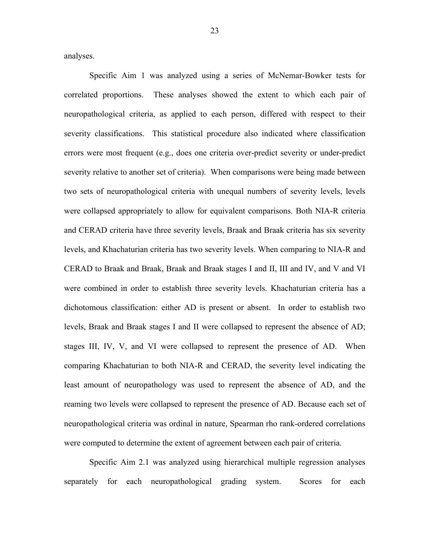analyses.

Specific Aim 1 was analyzed using a series of McNemar-Bowker tests for correlated proportions. These analyses showed the extent to which each pair of neuropathological criteria, as applied to each person, differed with respect to their severity classifications. This statistical procedure also indicated where classification errors were most frequent (e.g., does one criteria over-predict severity or under-predict severity relative to another set of criteria). When comparisons were being made between two sets of neuropathological criteria with unequal numbers of severity levels, levels were collapsed appropriately to allow for equivalent comparisons. Both NIA-R criteria and CERAD criteria have three severity levels, Braak and Braak criteria has six severity levels, and Khachaturian criteria has two severity levels. When comparing to NIA-R and CERAD to Braak and Braak, Braak and Braak stages I and II, III and IV, and V and VI were combined in order to establish three severity levels. Khachaturian criteria has a dichotomous classification: either AD is present or absent. In order to establish two levels, Braak and Braak stages I and II were collapsed to represent the absence of AD; stages III, IV, V, and VI were collapsed to represent the presence of AD. When comparing Khachaturian to both NIA-R and CERAD, the severity level indicating the least amount of neuropathology was used to represent the absence of AD, and the reaming two levels were collapsed to represent the presence of AD. Because each set of neuropathological criteria was ordinal in nature, Spearman rho rank-ordered correlations were computed to determine the extent of agreement between each pair of criteria.

Specific Aim 2.1 was analyzed using hierarchical multiple regression analyses separately for each neuropathological grading system. Scores for each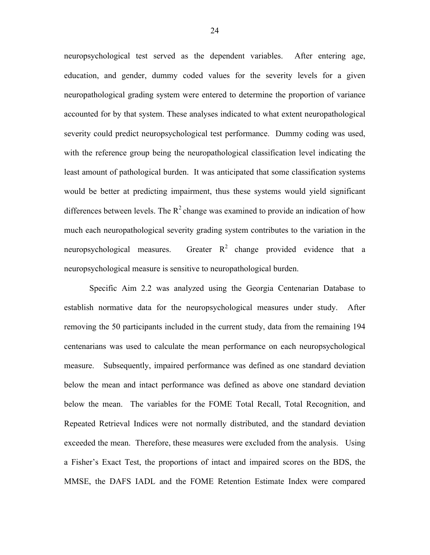neuropsychological test served as the dependent variables. After entering age, education, and gender, dummy coded values for the severity levels for a given neuropathological grading system were entered to determine the proportion of variance accounted for by that system. These analyses indicated to what extent neuropathological severity could predict neuropsychological test performance. Dummy coding was used, with the reference group being the neuropathological classification level indicating the least amount of pathological burden. It was anticipated that some classification systems would be better at predicting impairment, thus these systems would yield significant differences between levels. The  $R^2$  change was examined to provide an indication of how much each neuropathological severity grading system contributes to the variation in the neuropsychological measures. Greater  $R^2$  change provided evidence that a neuropsychological measure is sensitive to neuropathological burden.

Specific Aim 2.2 was analyzed using the Georgia Centenarian Database to establish normative data for the neuropsychological measures under study. After removing the 50 participants included in the current study, data from the remaining 194 centenarians was used to calculate the mean performance on each neuropsychological measure. Subsequently, impaired performance was defined as one standard deviation below the mean and intact performance was defined as above one standard deviation below the mean. The variables for the FOME Total Recall, Total Recognition, and Repeated Retrieval Indices were not normally distributed, and the standard deviation exceeded the mean. Therefore, these measures were excluded from the analysis. Using a Fisher's Exact Test, the proportions of intact and impaired scores on the BDS, the MMSE, the DAFS IADL and the FOME Retention Estimate Index were compared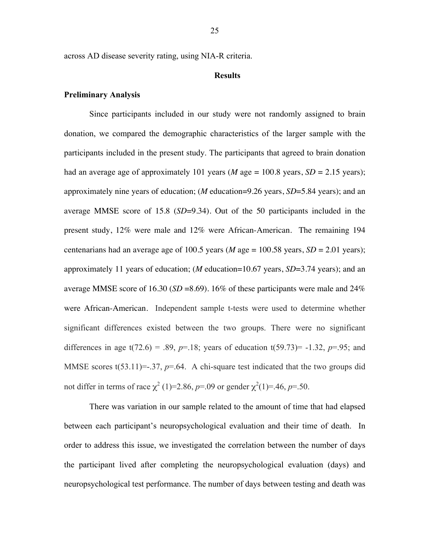across AD disease severity rating, using NIA-R criteria.

#### **Results**

#### **Preliminary Analysis**

Since participants included in our study were not randomly assigned to brain donation, we compared the demographic characteristics of the larger sample with the participants included in the present study. The participants that agreed to brain donation had an average age of approximately 101 years (*M* age = 100.8 years,  $SD = 2.15$  years); approximately nine years of education; (*M* education=9.26 years, *SD*=5.84 years); and an average MMSE score of 15.8 (*SD*=9.34). Out of the 50 participants included in the present study, 12% were male and 12% were African-American. The remaining 194 centenarians had an average age of 100.5 years ( $M$  age = 100.58 years,  $SD = 2.01$  years); approximately 11 years of education; (*M* education=10.67 years, *SD*=3.74 years); and an average MMSE score of 16.30 (*SD* =8.69). 16% of these participants were male and 24% were African-American. Independent sample t-tests were used to determine whether significant differences existed between the two groups. There were no significant differences in age  $t(72.6) = .89$ ,  $p=18$ ; years of education  $t(59.73) = -1.32$ ,  $p=0.95$ ; and MMSE scores  $t(53.11)=37$ ,  $p=.64$ . A chi-square test indicated that the two groups did not differ in terms of race  $\chi^2$  (1)=2.86, *p*=.09 or gender  $\chi^2$ (1)=.46, *p*=.50.

There was variation in our sample related to the amount of time that had elapsed between each participant's neuropsychological evaluation and their time of death. In order to address this issue, we investigated the correlation between the number of days the participant lived after completing the neuropsychological evaluation (days) and neuropsychological test performance. The number of days between testing and death was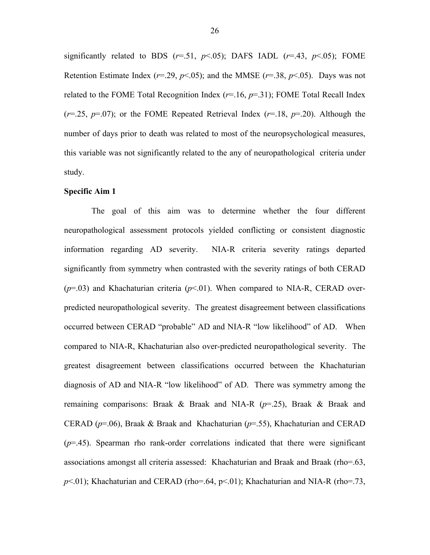significantly related to BDS  $(r=.51, p<.05)$ ; DAFS IADL  $(r=.43, p<.05)$ ; FOME Retention Estimate Index ( $r=29$ ,  $p<05$ ); and the MMSE ( $r=38$ ,  $p<05$ ). Days was not related to the FOME Total Recognition Index (*r*=.16, *p*=.31); FOME Total Recall Index  $(r=0.25, p=0.07)$ ; or the FOME Repeated Retrieval Index  $(r=1.8, p=0.20)$ . Although the number of days prior to death was related to most of the neuropsychological measures, this variable was not significantly related to the any of neuropathological criteria under study.

#### **Specific Aim 1**

The goal of this aim was to determine whether the four different neuropathological assessment protocols yielded conflicting or consistent diagnostic information regarding AD severity. NIA-R criteria severity ratings departed significantly from symmetry when contrasted with the severity ratings of both CERAD  $(p=0.03)$  and Khachaturian criteria  $(p<0.01)$ . When compared to NIA-R, CERAD overpredicted neuropathological severity. The greatest disagreement between classifications occurred between CERAD "probable" AD and NIA-R "low likelihood" of AD. When compared to NIA-R, Khachaturian also over-predicted neuropathological severity. The greatest disagreement between classifications occurred between the Khachaturian diagnosis of AD and NIA-R "low likelihood" of AD. There was symmetry among the remaining comparisons: Braak & Braak and NIA-R (*p*=.25), Braak & Braak and CERAD (*p*=.06), Braak & Braak and Khachaturian (*p*=.55), Khachaturian and CERAD (*p*=.45). Spearman rho rank-order correlations indicated that there were significant associations amongst all criteria assessed: Khachaturian and Braak and Braak (rho=.63, *p*<.01); Khachaturian and CERAD (rho=.64, p<.01); Khachaturian and NIA-R (rho=.73,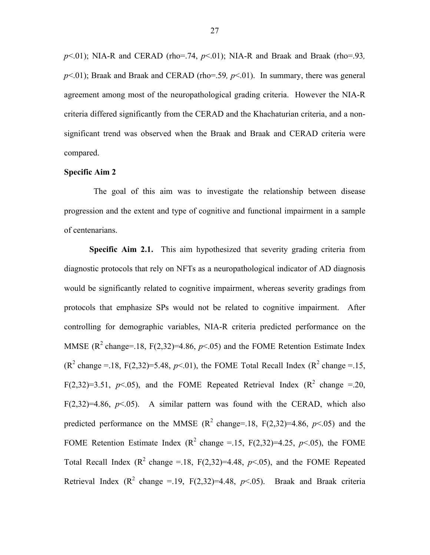*p*<.01); NIA-R and CERAD (rho=.74, *p*<.01); NIA-R and Braak and Braak (rho=.93*, p*<.01); Braak and Braak and CERAD (rho=.59*, p*<.01). In summary, there was general agreement among most of the neuropathological grading criteria. However the NIA-R criteria differed significantly from the CERAD and the Khachaturian criteria, and a nonsignificant trend was observed when the Braak and Braak and CERAD criteria were compared.

#### **Specific Aim 2**

The goal of this aim was to investigate the relationship between disease progression and the extent and type of cognitive and functional impairment in a sample of centenarians.

**Specific Aim 2.1.** This aim hypothesized that severity grading criteria from diagnostic protocols that rely on NFTs as a neuropathological indicator of AD diagnosis would be significantly related to cognitive impairment, whereas severity gradings from protocols that emphasize SPs would not be related to cognitive impairment. After controlling for demographic variables, NIA-R criteria predicted performance on the MMSE ( $R^2$  change=.18, F(2,32)=4.86,  $p<0.05$ ) and the FOME Retention Estimate Index  $(R^2 \text{ change } = 18, F(2,32)=5.48, p<0.01)$ , the FOME Total Recall Index  $(R^2 \text{ change } = 15,$ F(2,32)=3.51,  $p<.05$ ), and the FOME Repeated Retrieval Index ( $R^2$  change =.20, F(2,32)=4.86,  $p<0.05$ ). A similar pattern was found with the CERAD, which also predicted performance on the MMSE  $(R^2 \text{ change} = 18, F(2,32)=4.86, p<.05)$  and the FOME Retention Estimate Index ( $R^2$  change = 15, F(2,32)=4.25, *p* < 05), the FOME Total Recall Index  $(R^2 \text{ change} = 18, F(2,32)=4.48, p<0.05)$ , and the FOME Repeated Retrieval Index  $(R^2 \text{ change } = 19, F(2,32)=4.48, p<0.65)$ . Braak and Braak criteria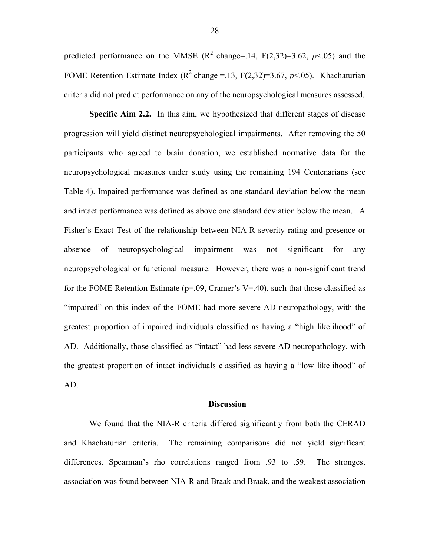predicted performance on the MMSE  $(R^2 \text{ change} = 14, F(2,32)=3.62, p<.05)$  and the FOME Retention Estimate Index  $(R^2 \text{ change} = .13, F(2,32)=3.67, p<0.05)$ . Khachaturian criteria did not predict performance on any of the neuropsychological measures assessed.

**Specific Aim 2.2.** In this aim, we hypothesized that different stages of disease progression will yield distinct neuropsychological impairments. After removing the 50 participants who agreed to brain donation, we established normative data for the neuropsychological measures under study using the remaining 194 Centenarians (see Table 4). Impaired performance was defined as one standard deviation below the mean and intact performance was defined as above one standard deviation below the mean. A Fisher's Exact Test of the relationship between NIA-R severity rating and presence or absence of neuropsychological impairment was not significant for any neuropsychological or functional measure. However, there was a non-significant trend for the FOME Retention Estimate ( $p=0.09$ , Cramer's V=.40), such that those classified as "impaired" on this index of the FOME had more severe AD neuropathology, with the greatest proportion of impaired individuals classified as having a "high likelihood" of AD. Additionally, those classified as "intact" had less severe AD neuropathology, with the greatest proportion of intact individuals classified as having a "low likelihood" of AD.

#### **Discussion**

We found that the NIA-R criteria differed significantly from both the CERAD and Khachaturian criteria. The remaining comparisons did not yield significant differences. Spearman's rho correlations ranged from .93 to .59. The strongest association was found between NIA-R and Braak and Braak, and the weakest association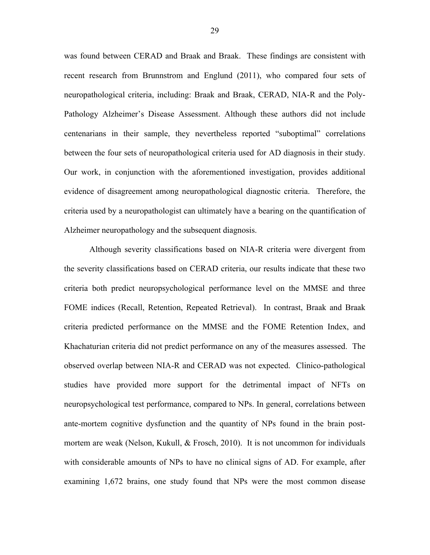was found between CERAD and Braak and Braak. These findings are consistent with recent research from Brunnstrom and Englund (2011), who compared four sets of neuropathological criteria, including: Braak and Braak, CERAD, NIA-R and the Poly-Pathology Alzheimer's Disease Assessment. Although these authors did not include centenarians in their sample, they nevertheless reported "suboptimal" correlations between the four sets of neuropathological criteria used for AD diagnosis in their study. Our work, in conjunction with the aforementioned investigation, provides additional evidence of disagreement among neuropathological diagnostic criteria. Therefore, the criteria used by a neuropathologist can ultimately have a bearing on the quantification of Alzheimer neuropathology and the subsequent diagnosis.

Although severity classifications based on NIA-R criteria were divergent from the severity classifications based on CERAD criteria, our results indicate that these two criteria both predict neuropsychological performance level on the MMSE and three FOME indices (Recall, Retention, Repeated Retrieval). In contrast, Braak and Braak criteria predicted performance on the MMSE and the FOME Retention Index, and Khachaturian criteria did not predict performance on any of the measures assessed. The observed overlap between NIA-R and CERAD was not expected. Clinico-pathological studies have provided more support for the detrimental impact of NFTs on neuropsychological test performance, compared to NPs. In general, correlations between ante-mortem cognitive dysfunction and the quantity of NPs found in the brain postmortem are weak (Nelson, Kukull, & Frosch, 2010). It is not uncommon for individuals with considerable amounts of NPs to have no clinical signs of AD. For example, after examining 1,672 brains, one study found that NPs were the most common disease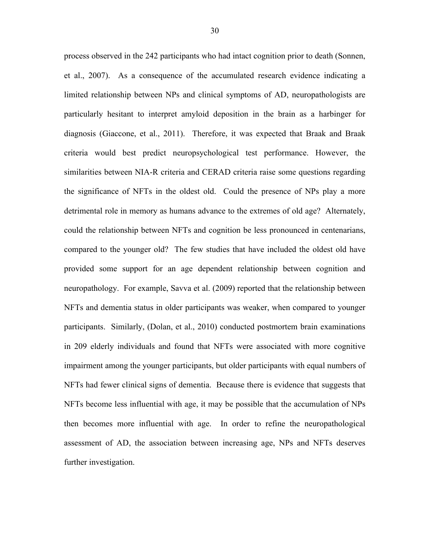process observed in the 242 participants who had intact cognition prior to death (Sonnen, et al., 2007). As a consequence of the accumulated research evidence indicating a limited relationship between NPs and clinical symptoms of AD, neuropathologists are particularly hesitant to interpret amyloid deposition in the brain as a harbinger for diagnosis (Giaccone, et al., 2011). Therefore, it was expected that Braak and Braak criteria would best predict neuropsychological test performance. However, the similarities between NIA-R criteria and CERAD criteria raise some questions regarding the significance of NFTs in the oldest old. Could the presence of NPs play a more detrimental role in memory as humans advance to the extremes of old age? Alternately, could the relationship between NFTs and cognition be less pronounced in centenarians, compared to the younger old? The few studies that have included the oldest old have provided some support for an age dependent relationship between cognition and neuropathology. For example, Savva et al. (2009) reported that the relationship between NFTs and dementia status in older participants was weaker, when compared to younger participants. Similarly, (Dolan, et al., 2010) conducted postmortem brain examinations in 209 elderly individuals and found that NFTs were associated with more cognitive impairment among the younger participants, but older participants with equal numbers of NFTs had fewer clinical signs of dementia. Because there is evidence that suggests that NFTs become less influential with age, it may be possible that the accumulation of NPs then becomes more influential with age. In order to refine the neuropathological assessment of AD, the association between increasing age, NPs and NFTs deserves further investigation.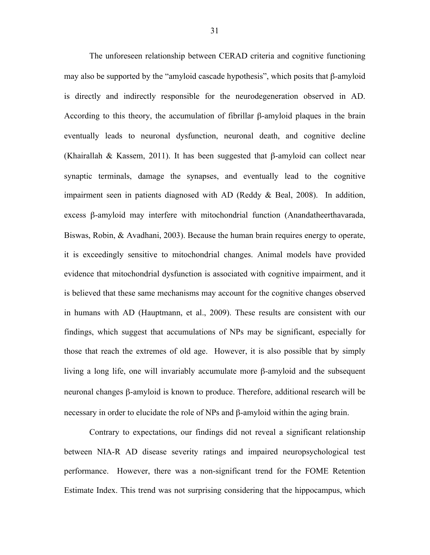The unforeseen relationship between CERAD criteria and cognitive functioning may also be supported by the "amyloid cascade hypothesis", which posits that β-amyloid is directly and indirectly responsible for the neurodegeneration observed in AD. According to this theory, the accumulation of fibrillar β-amyloid plaques in the brain eventually leads to neuronal dysfunction, neuronal death, and cognitive decline (Khairallah & Kassem, 2011). It has been suggested that β-amyloid can collect near synaptic terminals, damage the synapses, and eventually lead to the cognitive impairment seen in patients diagnosed with AD (Reddy & Beal, 2008). In addition, excess β-amyloid may interfere with mitochondrial function (Anandatheerthavarada, Biswas, Robin, & Avadhani, 2003). Because the human brain requires energy to operate, it is exceedingly sensitive to mitochondrial changes. Animal models have provided evidence that mitochondrial dysfunction is associated with cognitive impairment, and it is believed that these same mechanisms may account for the cognitive changes observed in humans with AD (Hauptmann, et al., 2009). These results are consistent with our findings, which suggest that accumulations of NPs may be significant, especially for those that reach the extremes of old age. However, it is also possible that by simply living a long life, one will invariably accumulate more β-amyloid and the subsequent neuronal changes β-amyloid is known to produce. Therefore, additional research will be necessary in order to elucidate the role of NPs and β-amyloid within the aging brain.

Contrary to expectations, our findings did not reveal a significant relationship between NIA-R AD disease severity ratings and impaired neuropsychological test performance. However, there was a non-significant trend for the FOME Retention Estimate Index. This trend was not surprising considering that the hippocampus, which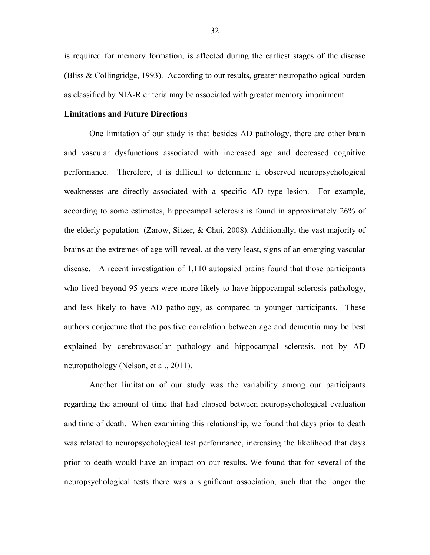is required for memory formation, is affected during the earliest stages of the disease (Bliss & Collingridge, 1993). According to our results, greater neuropathological burden as classified by NIA-R criteria may be associated with greater memory impairment.

#### **Limitations and Future Directions**

One limitation of our study is that besides AD pathology, there are other brain and vascular dysfunctions associated with increased age and decreased cognitive performance. Therefore, it is difficult to determine if observed neuropsychological weaknesses are directly associated with a specific AD type lesion. For example, according to some estimates, hippocampal sclerosis is found in approximately 26% of the elderly population (Zarow, Sitzer, & Chui, 2008). Additionally, the vast majority of brains at the extremes of age will reveal, at the very least, signs of an emerging vascular disease. A recent investigation of 1,110 autopsied brains found that those participants who lived beyond 95 years were more likely to have hippocampal sclerosis pathology, and less likely to have AD pathology, as compared to younger participants. These authors conjecture that the positive correlation between age and dementia may be best explained by cerebrovascular pathology and hippocampal sclerosis, not by AD neuropathology (Nelson, et al., 2011).

Another limitation of our study was the variability among our participants regarding the amount of time that had elapsed between neuropsychological evaluation and time of death. When examining this relationship, we found that days prior to death was related to neuropsychological test performance, increasing the likelihood that days prior to death would have an impact on our results. We found that for several of the neuropsychological tests there was a significant association, such that the longer the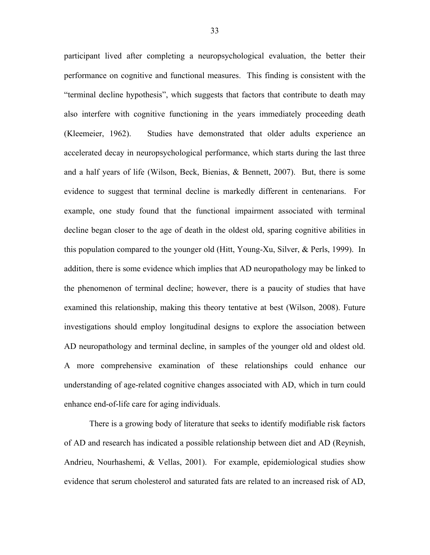participant lived after completing a neuropsychological evaluation, the better their performance on cognitive and functional measures. This finding is consistent with the "terminal decline hypothesis", which suggests that factors that contribute to death may also interfere with cognitive functioning in the years immediately proceeding death (Kleemeier, 1962). Studies have demonstrated that older adults experience an accelerated decay in neuropsychological performance, which starts during the last three and a half years of life (Wilson, Beck, Bienias, & Bennett, 2007). But, there is some evidence to suggest that terminal decline is markedly different in centenarians. For example, one study found that the functional impairment associated with terminal decline began closer to the age of death in the oldest old, sparing cognitive abilities in this population compared to the younger old (Hitt, Young-Xu, Silver, & Perls, 1999). In addition, there is some evidence which implies that AD neuropathology may be linked to the phenomenon of terminal decline; however, there is a paucity of studies that have examined this relationship, making this theory tentative at best (Wilson, 2008). Future investigations should employ longitudinal designs to explore the association between AD neuropathology and terminal decline, in samples of the younger old and oldest old. A more comprehensive examination of these relationships could enhance our understanding of age-related cognitive changes associated with AD, which in turn could enhance end-of-life care for aging individuals.

There is a growing body of literature that seeks to identify modifiable risk factors of AD and research has indicated a possible relationship between diet and AD (Reynish, Andrieu, Nourhashemi, & Vellas, 2001). For example, epidemiological studies show evidence that serum cholesterol and saturated fats are related to an increased risk of AD,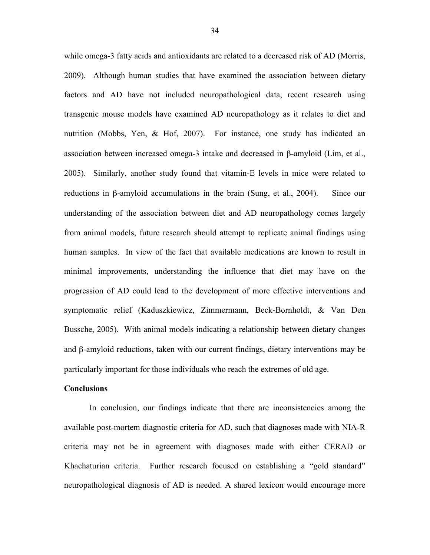while omega-3 fatty acids and antioxidants are related to a decreased risk of AD (Morris, 2009). Although human studies that have examined the association between dietary factors and AD have not included neuropathological data, recent research using transgenic mouse models have examined AD neuropathology as it relates to diet and nutrition (Mobbs, Yen, & Hof, 2007). For instance, one study has indicated an association between increased omega-3 intake and decreased in β-amyloid (Lim, et al., 2005). Similarly, another study found that vitamin-E levels in mice were related to reductions in β-amyloid accumulations in the brain (Sung, et al., 2004). Since our understanding of the association between diet and AD neuropathology comes largely from animal models, future research should attempt to replicate animal findings using human samples. In view of the fact that available medications are known to result in minimal improvements, understanding the influence that diet may have on the progression of AD could lead to the development of more effective interventions and symptomatic relief (Kaduszkiewicz, Zimmermann, Beck-Bornholdt, & Van Den Bussche, 2005). With animal models indicating a relationship between dietary changes and β-amyloid reductions, taken with our current findings, dietary interventions may be particularly important for those individuals who reach the extremes of old age.

#### **Conclusions**

In conclusion, our findings indicate that there are inconsistencies among the available post-mortem diagnostic criteria for AD, such that diagnoses made with NIA-R criteria may not be in agreement with diagnoses made with either CERAD or Khachaturian criteria. Further research focused on establishing a "gold standard" neuropathological diagnosis of AD is needed. A shared lexicon would encourage more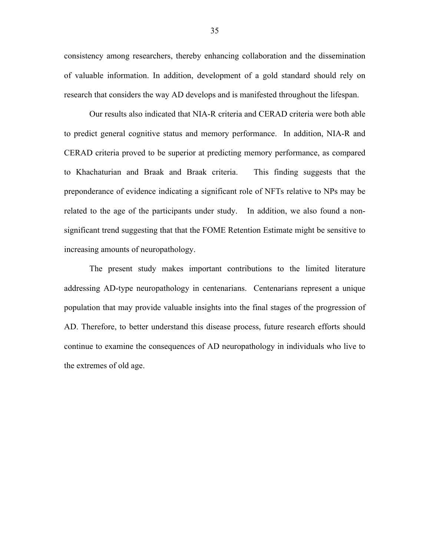consistency among researchers, thereby enhancing collaboration and the dissemination of valuable information. In addition, development of a gold standard should rely on research that considers the way AD develops and is manifested throughout the lifespan.

Our results also indicated that NIA-R criteria and CERAD criteria were both able to predict general cognitive status and memory performance. In addition, NIA-R and CERAD criteria proved to be superior at predicting memory performance, as compared to Khachaturian and Braak and Braak criteria. This finding suggests that the preponderance of evidence indicating a significant role of NFTs relative to NPs may be related to the age of the participants under study. In addition, we also found a nonsignificant trend suggesting that that the FOME Retention Estimate might be sensitive to increasing amounts of neuropathology.

The present study makes important contributions to the limited literature addressing AD-type neuropathology in centenarians. Centenarians represent a unique population that may provide valuable insights into the final stages of the progression of AD. Therefore, to better understand this disease process, future research efforts should continue to examine the consequences of AD neuropathology in individuals who live to the extremes of old age.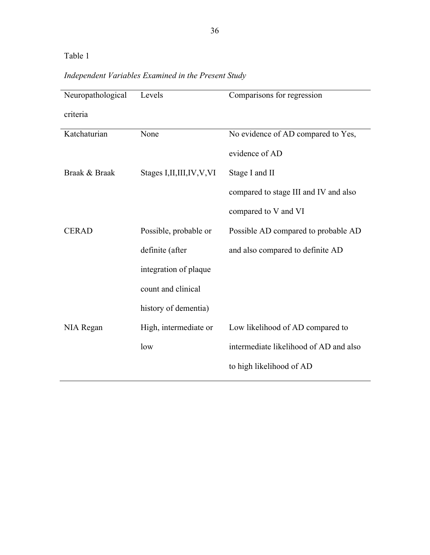# *Independent Variables Examined in the Present Study*

| Neuropathological | Levels                       | Comparisons for regression             |
|-------------------|------------------------------|----------------------------------------|
| criteria          |                              |                                        |
| Katchaturian      | None                         | No evidence of AD compared to Yes,     |
|                   |                              | evidence of AD                         |
| Braak & Braak     | Stages I, II, III, IV, V, VI | Stage I and II                         |
|                   |                              | compared to stage III and IV and also  |
|                   |                              | compared to V and VI                   |
| <b>CERAD</b>      | Possible, probable or        | Possible AD compared to probable AD    |
|                   | definite (after              | and also compared to definite AD       |
|                   | integration of plaque        |                                        |
|                   | count and clinical           |                                        |
|                   | history of dementia)         |                                        |
| NIA Regan         | High, intermediate or        | Low likelihood of AD compared to       |
|                   | low                          | intermediate likelihood of AD and also |
|                   |                              | to high likelihood of AD               |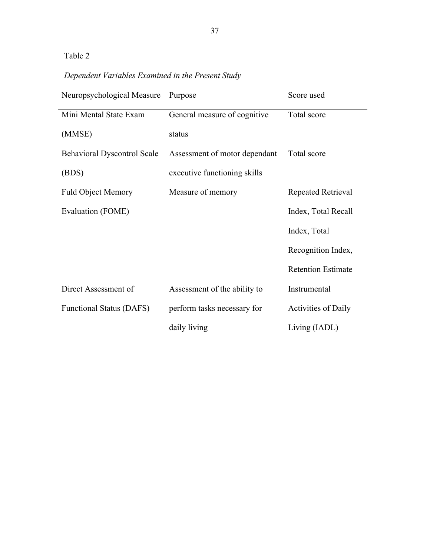# *Dependent Variables Examined in the Present Study*

| Neuropsychological Measure         | Purpose                       | Score used                 |
|------------------------------------|-------------------------------|----------------------------|
| Mini Mental State Exam             | General measure of cognitive  | Total score                |
| (MMSE)                             | status                        |                            |
| <b>Behavioral Dyscontrol Scale</b> | Assessment of motor dependant | Total score                |
| (BDS)                              | executive functioning skills  |                            |
| <b>Fuld Object Memory</b>          | Measure of memory             | Repeated Retrieval         |
| Evaluation (FOME)                  |                               | Index, Total Recall        |
|                                    |                               | Index, Total               |
|                                    |                               | Recognition Index,         |
|                                    |                               | <b>Retention Estimate</b>  |
| Direct Assessment of               | Assessment of the ability to  | Instrumental               |
| <b>Functional Status (DAFS)</b>    | perform tasks necessary for   | <b>Activities of Daily</b> |
|                                    | daily living                  | Living (IADL)              |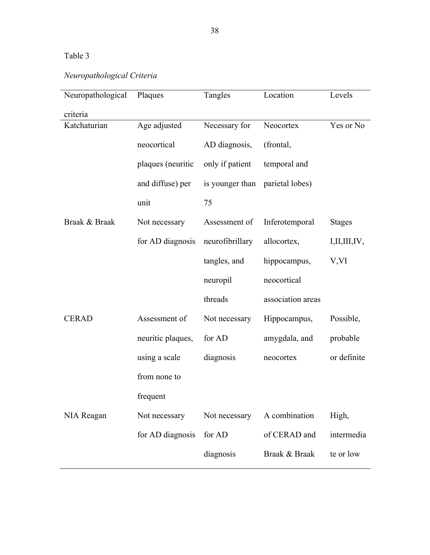# *Neuropathological Criteria*

| Neuropathological | Plaques           | Tangles         | Location          | Levels        |
|-------------------|-------------------|-----------------|-------------------|---------------|
| criteria          |                   |                 |                   |               |
| Katchaturian      | Age adjusted      | Necessary for   | Neocortex         | Yes or No     |
|                   | neocortical       | AD diagnosis,   | (frontal,         |               |
|                   | plaques (neuritic | only if patient | temporal and      |               |
|                   | and diffuse) per  | is younger than | parietal lobes)   |               |
|                   | unit              | 75              |                   |               |
| Braak & Braak     | Not necessary     | Assessment of   | Inferotemporal    | <b>Stages</b> |
|                   | for AD diagnosis  | neurofibrillary | allocortex,       | I,II,III,IV,  |
|                   |                   | tangles, and    | hippocampus,      | V,VI          |
|                   |                   | neuropil        | neocortical       |               |
|                   |                   | threads         | association areas |               |
| <b>CERAD</b>      | Assessment of     | Not necessary   | Hippocampus,      | Possible,     |
|                   | neuritic plaques, | for AD          | amygdala, and     | probable      |
|                   | using a scale     | diagnosis       | neocortex         | or definite   |
|                   | from none to      |                 |                   |               |
|                   | frequent          |                 |                   |               |
| NIA Reagan        | Not necessary     | Not necessary   | A combination     | High,         |
|                   | for AD diagnosis  | for AD          | of CERAD and      | intermedia    |
|                   |                   | diagnosis       | Braak & Braak     | te or low     |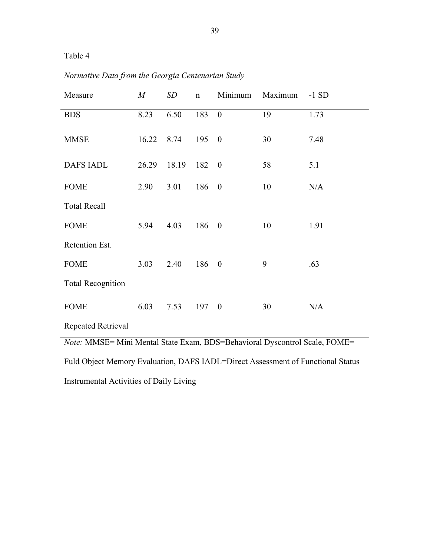| Measure                                                                    | $\boldsymbol{M}$ | SD    | $\mathbf n$ | Minimum          | Maximum | $-1SD$ |
|----------------------------------------------------------------------------|------------------|-------|-------------|------------------|---------|--------|
| <b>BDS</b>                                                                 | 8.23             | 6.50  | 183         | $\boldsymbol{0}$ | 19      | 1.73   |
| <b>MMSE</b>                                                                | 16.22            | 8.74  | 195         | $\theta$         | 30      | 7.48   |
| <b>DAFS IADL</b>                                                           | 26.29            | 18.19 | 182         | $\boldsymbol{0}$ | 58      | 5.1    |
| <b>FOME</b>                                                                | 2.90             | 3.01  | 186         | $\boldsymbol{0}$ | 10      | N/A    |
| <b>Total Recall</b>                                                        |                  |       |             |                  |         |        |
| <b>FOME</b>                                                                | 5.94             | 4.03  | 186         | $\boldsymbol{0}$ | 10      | 1.91   |
| Retention Est.                                                             |                  |       |             |                  |         |        |
| <b>FOME</b>                                                                | 3.03             | 2.40  | 186         | $\theta$         | 9       | .63    |
| <b>Total Recognition</b>                                                   |                  |       |             |                  |         |        |
| <b>FOME</b>                                                                | 6.03             | 7.53  | 197         | $\overline{0}$   | 30      | N/A    |
| Repeated Retrieval                                                         |                  |       |             |                  |         |        |
| Note: MMSE= Mini Mental State Exam, BDS=Behavioral Dyscontrol Scale, FOME= |                  |       |             |                  |         |        |

*Normative Data from the Georgia Centenarian Study* 

Fuld Object Memory Evaluation, DAFS IADL=Direct Assessment of Functional Status

Instrumental Activities of Daily Living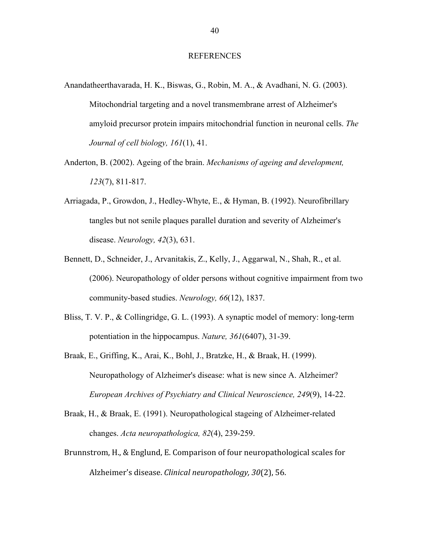#### REFERENCES

- Anandatheerthavarada, H. K., Biswas, G., Robin, M. A., & Avadhani, N. G. (2003). Mitochondrial targeting and a novel transmembrane arrest of Alzheimer's amyloid precursor protein impairs mitochondrial function in neuronal cells. *The Journal of cell biology, 161*(1), 41.
- Anderton, B. (2002). Ageing of the brain. *Mechanisms of ageing and development, 123*(7), 811-817.
- Arriagada, P., Growdon, J., Hedley-Whyte, E., & Hyman, B. (1992). Neurofibrillary tangles but not senile plaques parallel duration and severity of Alzheimer's disease. *Neurology, 42*(3), 631.
- Bennett, D., Schneider, J., Arvanitakis, Z., Kelly, J., Aggarwal, N., Shah, R., et al. (2006). Neuropathology of older persons without cognitive impairment from two community-based studies. *Neurology, 66*(12), 1837.
- Bliss, T. V. P., & Collingridge, G. L. (1993). A synaptic model of memory: long-term potentiation in the hippocampus. *Nature, 361*(6407), 31-39.
- Braak, E., Griffing, K., Arai, K., Bohl, J., Bratzke, H., & Braak, H. (1999). Neuropathology of Alzheimer's disease: what is new since A. Alzheimer? *European Archives of Psychiatry and Clinical Neuroscience, 249*(9), 14-22.
- Braak, H., & Braak, E. (1991). Neuropathological stageing of Alzheimer-related changes. *Acta neuropathologica, 82*(4), 239-259.
- Brunnstrom,
H.,
&
Englund,
E.
Comparison
of
four
neuropathological
scales
for Alzheimer's
disease. *Clinical
neuropathology,
30*(2),
56.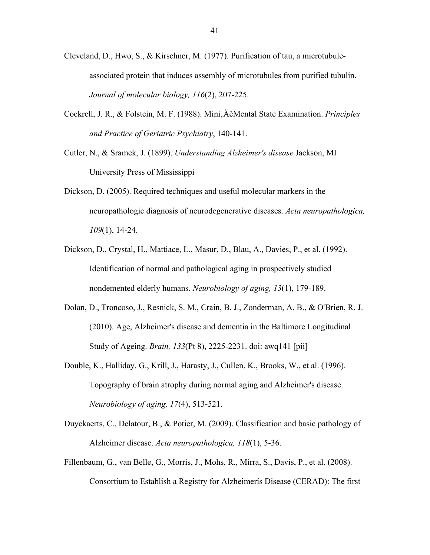- Cleveland, D., Hwo, S., & Kirschner, M. (1977). Purification of tau, a microtubuleassociated protein that induces assembly of microtubules from purified tubulin. *Journal of molecular biology, 116*(2), 207-225.
- Cockrell, J. R., & Folstein, M. F. (1988). Mini, ÄêMental State Examination. *Principles and Practice of Geriatric Psychiatry*, 140-141.
- Cutler, N., & Sramek, J. (1899). *Understanding Alzheimer's disease* Jackson, MI University Press of Mississippi
- Dickson, D. (2005). Required techniques and useful molecular markers in the neuropathologic diagnosis of neurodegenerative diseases. *Acta neuropathologica, 109*(1), 14-24.
- Dickson, D., Crystal, H., Mattiace, L., Masur, D., Blau, A., Davies, P., et al. (1992). Identification of normal and pathological aging in prospectively studied nondemented elderly humans. *Neurobiology of aging, 13*(1), 179-189.
- Dolan, D., Troncoso, J., Resnick, S. M., Crain, B. J., Zonderman, A. B., & O'Brien, R. J. (2010). Age, Alzheimer's disease and dementia in the Baltimore Longitudinal Study of Ageing. *Brain, 133*(Pt 8), 2225-2231. doi: awq141 [pii]
- Double, K., Halliday, G., Krill, J., Harasty, J., Cullen, K., Brooks, W., et al. (1996). Topography of brain atrophy during normal aging and Alzheimer's disease. *Neurobiology of aging, 17*(4), 513-521.
- Duyckaerts, C., Delatour, B., & Potier, M. (2009). Classification and basic pathology of Alzheimer disease. *Acta neuropathologica, 118*(1), 5-36.
- Fillenbaum, G., van Belle, G., Morris, J., Mohs, R., Mirra, S., Davis, P., et al. (2008). Consortium to Establish a Registry for Alzheimerís Disease (CERAD): The first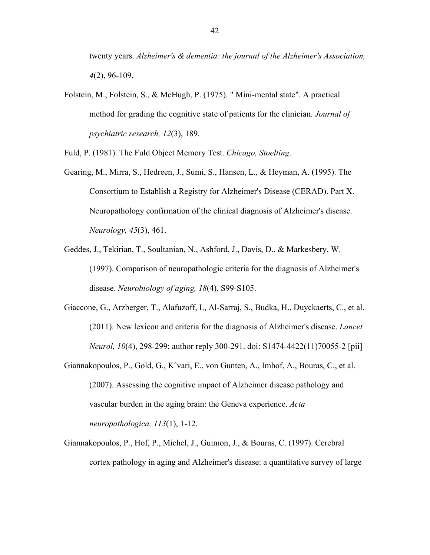twenty years. *Alzheimer's & dementia: the journal of the Alzheimer's Association, 4*(2), 96-109.

Folstein, M., Folstein, S., & McHugh, P. (1975). " Mini-mental state". A practical method for grading the cognitive state of patients for the clinician. *Journal of psychiatric research, 12*(3), 189.

Fuld, P. (1981). The Fuld Object Memory Test. *Chicago, Stoelting*.

- Gearing, M., Mirra, S., Hedreen, J., Sumi, S., Hansen, L., & Heyman, A. (1995). The Consortium to Establish a Registry for Alzheimer's Disease (CERAD). Part X. Neuropathology confirmation of the clinical diagnosis of Alzheimer's disease. *Neurology, 45*(3), 461.
- Geddes, J., Tekirian, T., Soultanian, N., Ashford, J., Davis, D., & Markesbery, W. (1997). Comparison of neuropathologic criteria for the diagnosis of Alzheimer's disease. *Neurobiology of aging, 18*(4), S99-S105.
- Giaccone, G., Arzberger, T., Alafuzoff, I., Al-Sarraj, S., Budka, H., Duyckaerts, C., et al. (2011). New lexicon and criteria for the diagnosis of Alzheimer's disease. *Lancet Neurol, 10*(4), 298-299; author reply 300-291. doi: S1474-4422(11)70055-2 [pii]
- Giannakopoulos, P., Gold, G., Kˆvari, E., von Gunten, A., Imhof, A., Bouras, C., et al. (2007). Assessing the cognitive impact of Alzheimer disease pathology and vascular burden in the aging brain: the Geneva experience. *Acta neuropathologica, 113*(1), 1-12.
- Giannakopoulos, P., Hof, P., Michel, J., Guimon, J., & Bouras, C. (1997). Cerebral cortex pathology in aging and Alzheimer's disease: a quantitative survey of large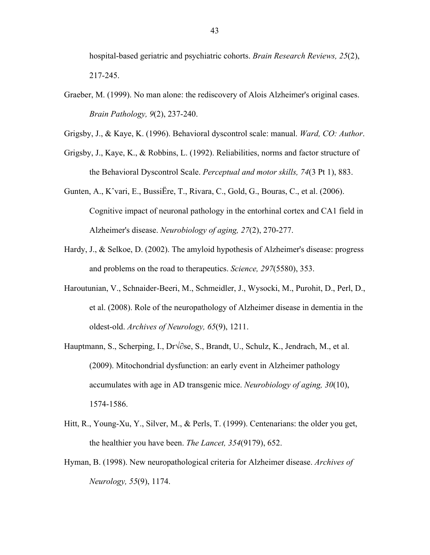hospital-based geriatric and psychiatric cohorts. *Brain Research Reviews, 25*(2), 217-245.

Graeber, M. (1999). No man alone: the rediscovery of Alois Alzheimer's original cases. *Brain Pathology, 9*(2), 237-240.

Grigsby, J., & Kaye, K. (1996). Behavioral dyscontrol scale: manual. *Ward, CO: Author*.

- Grigsby, J., Kaye, K., & Robbins, L. (1992). Reliabilities, norms and factor structure of the Behavioral Dyscontrol Scale. *Perceptual and motor skills, 74*(3 Pt 1), 883.
- Gunten, A., Kˆvari, E., BussiËre, T., Rivara, C., Gold, G., Bouras, C., et al. (2006). Cognitive impact of neuronal pathology in the entorhinal cortex and CA1 field in Alzheimer's disease. *Neurobiology of aging, 27*(2), 270-277.
- Hardy, J., & Selkoe, D. (2002). The amyloid hypothesis of Alzheimer's disease: progress and problems on the road to therapeutics. *Science, 297*(5580), 353.
- Haroutunian, V., Schnaider-Beeri, M., Schmeidler, J., Wysocki, M., Purohit, D., Perl, D., et al. (2008). Role of the neuropathology of Alzheimer disease in dementia in the oldest-old. *Archives of Neurology, 65*(9), 1211.
- Hauptmann, S., Scherping, I., Dr $\sqrt{\partial}$ se, S., Brandt, U., Schulz, K., Jendrach, M., et al. (2009). Mitochondrial dysfunction: an early event in Alzheimer pathology accumulates with age in AD transgenic mice. *Neurobiology of aging, 30*(10), 1574-1586.
- Hitt, R., Young-Xu, Y., Silver, M., & Perls, T. (1999). Centenarians: the older you get, the healthier you have been. *The Lancet, 354*(9179), 652.
- Hyman, B. (1998). New neuropathological criteria for Alzheimer disease. *Archives of Neurology, 55*(9), 1174.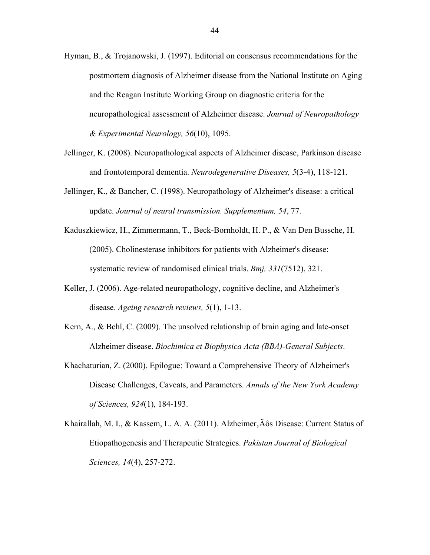- Hyman, B., & Trojanowski, J. (1997). Editorial on consensus recommendations for the postmortem diagnosis of Alzheimer disease from the National Institute on Aging and the Reagan Institute Working Group on diagnostic criteria for the neuropathological assessment of Alzheimer disease. *Journal of Neuropathology & Experimental Neurology, 56*(10), 1095.
- Jellinger, K. (2008). Neuropathological aspects of Alzheimer disease, Parkinson disease and frontotemporal dementia. *Neurodegenerative Diseases, 5*(3-4), 118-121.
- Jellinger, K., & Bancher, C. (1998). Neuropathology of Alzheimer's disease: a critical update. *Journal of neural transmission. Supplementum, 54*, 77.
- Kaduszkiewicz, H., Zimmermann, T., Beck-Bornholdt, H. P., & Van Den Bussche, H. (2005). Cholinesterase inhibitors for patients with Alzheimer's disease: systematic review of randomised clinical trials. *Bmj, 331*(7512), 321.
- Keller, J. (2006). Age-related neuropathology, cognitive decline, and Alzheimer's disease. *Ageing research reviews, 5*(1), 1-13.
- Kern, A., & Behl, C. (2009). The unsolved relationship of brain aging and late-onset Alzheimer disease. *Biochimica et Biophysica Acta (BBA)-General Subjects*.
- Khachaturian, Z. (2000). Epilogue: Toward a Comprehensive Theory of Alzheimer's Disease Challenges, Caveats, and Parameters. *Annals of the New York Academy of Sciences, 924*(1), 184-193.
- Khairallah, M. I., & Kassem, L. A. A. (2011). Alzheimer, Äôs Disease: Current Status of Etiopathogenesis and Therapeutic Strategies. *Pakistan Journal of Biological Sciences, 14*(4), 257-272.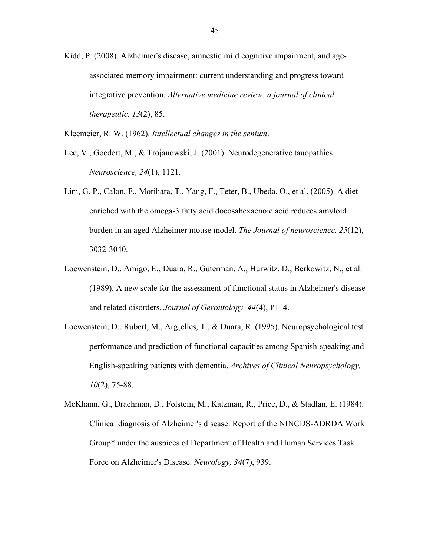- Kidd, P. (2008). Alzheimer's disease, amnestic mild cognitive impairment, and ageassociated memory impairment: current understanding and progress toward integrative prevention. *Alternative medicine review: a journal of clinical therapeutic, 13*(2), 85.
- Kleemeier, R. W. (1962). *Intellectual changes in the senium*.
- Lee, V., Goedert, M., & Trojanowski, J. (2001). Neurodegenerative tauopathies. *Neuroscience, 24*(1), 1121.
- Lim, G. P., Calon, F., Morihara, T., Yang, F., Teter, B., Ubeda, O., et al. (2005). A diet enriched with the omega-3 fatty acid docosahexaenoic acid reduces amyloid burden in an aged Alzheimer mouse model. *The Journal of neuroscience, 25*(12), 3032-3040.
- Loewenstein, D., Amigo, E., Duara, R., Guterman, A., Hurwitz, D., Berkowitz, N., et al. (1989). A new scale for the assessment of functional status in Alzheimer's disease and related disorders. *Journal of Gerontology, 44*(4), P114.
- Loewenstein, D., Rubert, M., Arg¸elles, T., & Duara, R. (1995). Neuropsychological test performance and prediction of functional capacities among Spanish-speaking and English-speaking patients with dementia. *Archives of Clinical Neuropsychology, 10*(2), 75-88.
- McKhann, G., Drachman, D., Folstein, M., Katzman, R., Price, D., & Stadlan, E. (1984). Clinical diagnosis of Alzheimer's disease: Report of the NINCDS-ADRDA Work Group\* under the auspices of Department of Health and Human Services Task Force on Alzheimer's Disease. *Neurology, 34*(7), 939.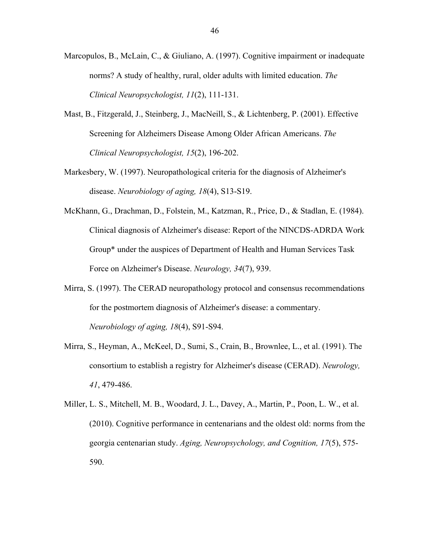- Marcopulos, B., McLain, C., & Giuliano, A. (1997). Cognitive impairment or inadequate norms? A study of healthy, rural, older adults with limited education. *The Clinical Neuropsychologist, 11*(2), 111-131.
- Mast, B., Fitzgerald, J., Steinberg, J., MacNeill, S., & Lichtenberg, P. (2001). Effective Screening for Alzheimers Disease Among Older African Americans. *The Clinical Neuropsychologist, 15*(2), 196-202.
- Markesbery, W. (1997). Neuropathological criteria for the diagnosis of Alzheimer's disease. *Neurobiology of aging, 18*(4), S13-S19.
- McKhann, G., Drachman, D., Folstein, M., Katzman, R., Price, D., & Stadlan, E. (1984). Clinical diagnosis of Alzheimer's disease: Report of the NINCDS-ADRDA Work Group\* under the auspices of Department of Health and Human Services Task Force on Alzheimer's Disease. *Neurology, 34*(7), 939.
- Mirra, S. (1997). The CERAD neuropathology protocol and consensus recommendations for the postmortem diagnosis of Alzheimer's disease: a commentary. *Neurobiology of aging, 18*(4), S91-S94.
- Mirra, S., Heyman, A., McKeel, D., Sumi, S., Crain, B., Brownlee, L., et al. (1991). The consortium to establish a registry for Alzheimer's disease (CERAD). *Neurology, 41*, 479-486.
- Miller, L. S., Mitchell, M. B., Woodard, J. L., Davey, A., Martin, P., Poon, L. W., et al. (2010). Cognitive performance in centenarians and the oldest old: norms from the georgia centenarian study. *Aging, Neuropsychology, and Cognition, 17*(5), 575- 590.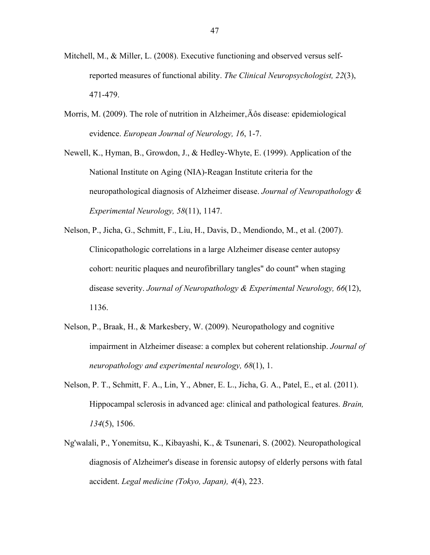- Mitchell, M., & Miller, L. (2008). Executive functioning and observed versus selfreported measures of functional ability. *The Clinical Neuropsychologist, 22*(3), 471-479.
- Morris, M. (2009). The role of nutrition in Alzheimer,  $\angle A$  os disease: epidemiological evidence. *European Journal of Neurology, 16*, 1-7.
- Newell, K., Hyman, B., Growdon, J., & Hedley-Whyte, E. (1999). Application of the National Institute on Aging (NIA)-Reagan Institute criteria for the neuropathological diagnosis of Alzheimer disease. *Journal of Neuropathology & Experimental Neurology, 58*(11), 1147.
- Nelson, P., Jicha, G., Schmitt, F., Liu, H., Davis, D., Mendiondo, M., et al. (2007). Clinicopathologic correlations in a large Alzheimer disease center autopsy cohort: neuritic plaques and neurofibrillary tangles" do count" when staging disease severity. *Journal of Neuropathology & Experimental Neurology, 66*(12), 1136.
- Nelson, P., Braak, H., & Markesbery, W. (2009). Neuropathology and cognitive impairment in Alzheimer disease: a complex but coherent relationship. *Journal of neuropathology and experimental neurology, 68*(1), 1.
- Nelson, P. T., Schmitt, F. A., Lin, Y., Abner, E. L., Jicha, G. A., Patel, E., et al. (2011). Hippocampal sclerosis in advanced age: clinical and pathological features. *Brain, 134*(5), 1506.
- Ng'walali, P., Yonemitsu, K., Kibayashi, K., & Tsunenari, S. (2002). Neuropathological diagnosis of Alzheimer's disease in forensic autopsy of elderly persons with fatal accident. *Legal medicine (Tokyo, Japan), 4*(4), 223.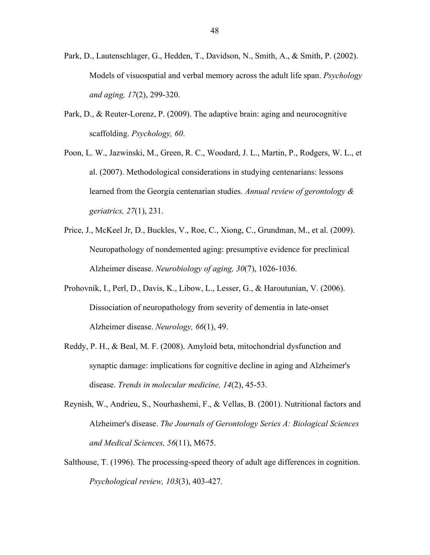- Park, D., Lautenschlager, G., Hedden, T., Davidson, N., Smith, A., & Smith, P. (2002). Models of visuospatial and verbal memory across the adult life span. *Psychology and aging, 17*(2), 299-320.
- Park, D., & Reuter-Lorenz, P. (2009). The adaptive brain: aging and neurocognitive scaffolding. *Psychology, 60*.
- Poon, L. W., Jazwinski, M., Green, R. C., Woodard, J. L., Martin, P., Rodgers, W. L., et al. (2007). Methodological considerations in studying centenarians: lessons learned from the Georgia centenarian studies. *Annual review of gerontology & geriatrics, 27*(1), 231.
- Price, J., McKeel Jr, D., Buckles, V., Roe, C., Xiong, C., Grundman, M., et al. (2009). Neuropathology of nondemented aging: presumptive evidence for preclinical Alzheimer disease. *Neurobiology of aging, 30*(7), 1026-1036.
- Prohovnik, I., Perl, D., Davis, K., Libow, L., Lesser, G., & Haroutunian, V. (2006). Dissociation of neuropathology from severity of dementia in late-onset Alzheimer disease. *Neurology, 66*(1), 49.
- Reddy, P. H., & Beal, M. F. (2008). Amyloid beta, mitochondrial dysfunction and synaptic damage: implications for cognitive decline in aging and Alzheimer's disease. *Trends in molecular medicine, 14*(2), 45-53.
- Reynish, W., Andrieu, S., Nourhashemi, F., & Vellas, B. (2001). Nutritional factors and Alzheimer's disease. *The Journals of Gerontology Series A: Biological Sciences and Medical Sciences, 56*(11), M675.
- Salthouse, T. (1996). The processing-speed theory of adult age differences in cognition. *Psychological review, 103*(3), 403-427.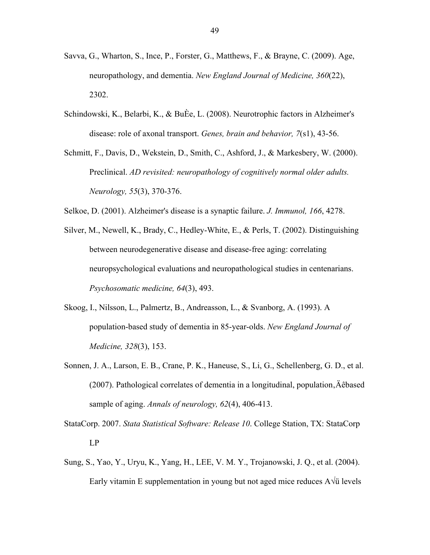- Savva, G., Wharton, S., Ince, P., Forster, G., Matthews, F., & Brayne, C. (2009). Age, neuropathology, and dementia. *New England Journal of Medicine, 360*(22), 2302.
- Schindowski, K., Belarbi, K., & BuÈe, L. (2008). Neurotrophic factors in Alzheimer's disease: role of axonal transport. *Genes, brain and behavior, 7*(s1), 43-56.
- Schmitt, F., Davis, D., Wekstein, D., Smith, C., Ashford, J., & Markesbery, W. (2000). Preclinical. *AD revisited: neuropathology of cognitively normal older adults. Neurology, 55*(3), 370-376.
- Selkoe, D. (2001). Alzheimer's disease is a synaptic failure. *J. Immunol, 166*, 4278.
- Silver, M., Newell, K., Brady, C., Hedley-White, E., & Perls, T. (2002). Distinguishing between neurodegenerative disease and disease-free aging: correlating neuropsychological evaluations and neuropathological studies in centenarians. *Psychosomatic medicine, 64*(3), 493.
- Skoog, I., Nilsson, L., Palmertz, B., Andreasson, L., & Svanborg, A. (1993). A population-based study of dementia in 85-year-olds. *New England Journal of Medicine, 328*(3), 153.
- Sonnen, J. A., Larson, E. B., Crane, P. K., Haneuse, S., Li, G., Schellenberg, G. D., et al.  $(2007)$ . Pathological correlates of dementia in a longitudinal, population,  $\AA$ êbased sample of aging. *Annals of neurology, 62*(4), 406-413.
- StataCorp. 2007. *Stata Statistical Software: Release 10*. College Station, TX: StataCorp LP
- Sung, S., Yao, Y., Uryu, K., Yang, H., LEE, V. M. Y., Trojanowski, J. Q., et al. (2004). Early vitamin E supplementation in young but not aged mice reduces A√ü levels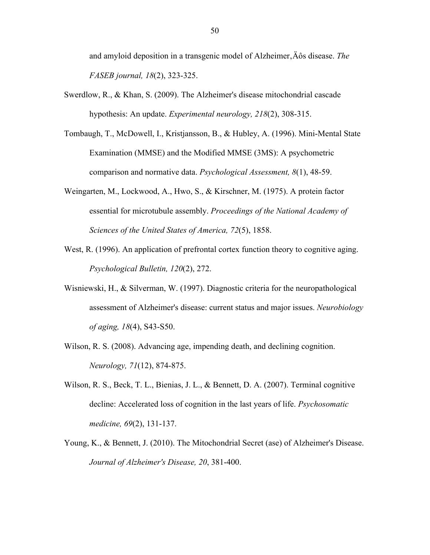and amyloid deposition in a transgenic model of Alzheimer,  $\ddot{A}$  os disease. *The FASEB journal, 18*(2), 323-325.

- Swerdlow, R., & Khan, S. (2009). The Alzheimer's disease mitochondrial cascade hypothesis: An update. *Experimental neurology, 218*(2), 308-315.
- Tombaugh, T., McDowell, I., Kristjansson, B., & Hubley, A. (1996). Mini-Mental State Examination (MMSE) and the Modified MMSE (3MS): A psychometric comparison and normative data. *Psychological Assessment, 8*(1), 48-59.
- Weingarten, M., Lockwood, A., Hwo, S., & Kirschner, M. (1975). A protein factor essential for microtubule assembly. *Proceedings of the National Academy of Sciences of the United States of America, 72*(5), 1858.
- West, R. (1996). An application of prefrontal cortex function theory to cognitive aging. *Psychological Bulletin, 120*(2), 272.
- Wisniewski, H., & Silverman, W. (1997). Diagnostic criteria for the neuropathological assessment of Alzheimer's disease: current status and major issues. *Neurobiology of aging, 18*(4), S43-S50.
- Wilson, R. S. (2008). Advancing age, impending death, and declining cognition. *Neurology, 71*(12), 874-875.
- Wilson, R. S., Beck, T. L., Bienias, J. L., & Bennett, D. A. (2007). Terminal cognitive decline: Accelerated loss of cognition in the last years of life. *Psychosomatic medicine, 69*(2), 131-137.
- Young, K., & Bennett, J. (2010). The Mitochondrial Secret (ase) of Alzheimer's Disease. *Journal of Alzheimer's Disease, 20*, 381-400.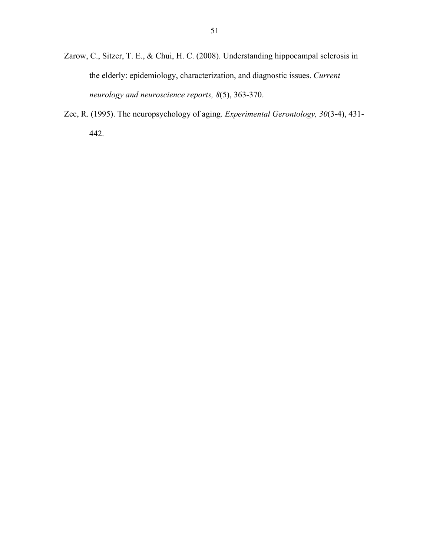- Zarow, C., Sitzer, T. E., & Chui, H. C. (2008). Understanding hippocampal sclerosis in the elderly: epidemiology, characterization, and diagnostic issues. *Current neurology and neuroscience reports, 8*(5), 363-370.
- Zec, R. (1995). The neuropsychology of aging. *Experimental Gerontology, 30*(3-4), 431- 442.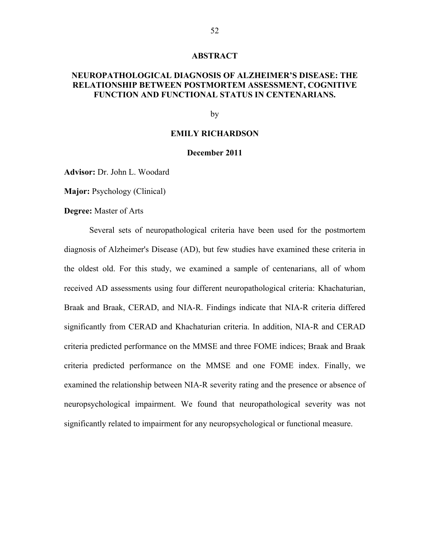#### **ABSTRACT**

### **NEUROPATHOLOGICAL DIAGNOSIS OF ALZHEIMER'S DISEASE: THE RELATIONSHIP BETWEEN POSTMORTEM ASSESSMENT, COGNITIVE FUNCTION AND FUNCTIONAL STATUS IN CENTENARIANS.**

#### by

#### **EMILY RICHARDSON**

#### **December 2011**

**Advisor:** Dr. John L. Woodard

**Major:** Psychology (Clinical)

**Degree:** Master of Arts

Several sets of neuropathological criteria have been used for the postmortem diagnosis of Alzheimer's Disease (AD), but few studies have examined these criteria in the oldest old. For this study, we examined a sample of centenarians, all of whom received AD assessments using four different neuropathological criteria: Khachaturian, Braak and Braak, CERAD, and NIA-R. Findings indicate that NIA-R criteria differed significantly from CERAD and Khachaturian criteria. In addition, NIA-R and CERAD criteria predicted performance on the MMSE and three FOME indices; Braak and Braak criteria predicted performance on the MMSE and one FOME index. Finally, we examined the relationship between NIA-R severity rating and the presence or absence of neuropsychological impairment. We found that neuropathological severity was not significantly related to impairment for any neuropsychological or functional measure.